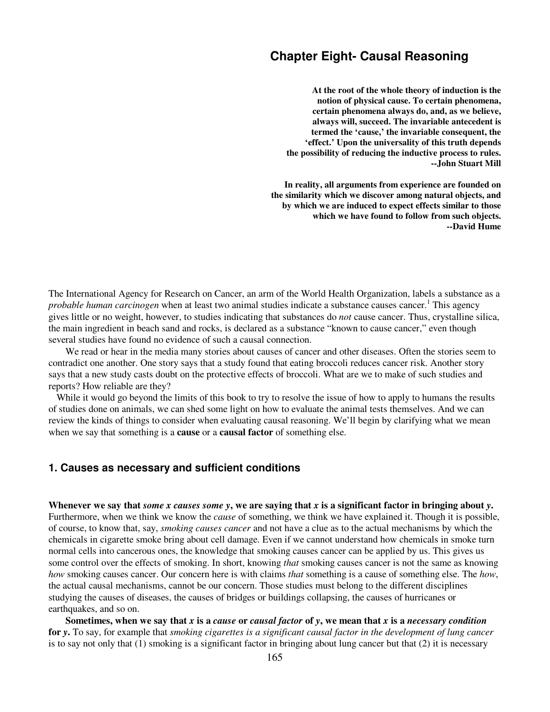# **Chapter Eight- Causal Reasoning**

**At the root of the whole theory of induction is the notion of physical cause. To certain phenomena, certain phenomena always do, and, as we believe, always will, succeed. The invariable antecedent is termed the 'cause,' the invariable consequent, the 'effect.' Upon the universality of this truth depends the possibility of reducing the inductive process to rules. --John Stuart Mill**

**In reality, all arguments from experience are founded on the similarity which we discover among natural objects, and by which we are induced to expect effects similar to those which we have found to follow from such objects. --David Hume**

The International Agency for Research on Cancer, an arm of the World Health Organization, labels a substance as a *probable human carcinogen* when at least two animal studies indicate a substance causes cancer. 1 This agency gives little or no weight, however, to studies indicating that substances do *not* cause cancer. Thus, crystalline silica, the main ingredient in beach sand and rocks, is declared as a substance "known to cause cancer," even though several studies have found no evidence of such a causal connection.

We read or hear in the media many stories about causes of cancer and other diseases. Often the stories seem to contradict one another. One story says that a study found that eating broccoli reduces cancer risk. Another story says that a new study casts doubt on the protective effects of broccoli. What are we to make of such studies and reports? How reliable are they?

While it would go beyond the limits of this book to try to resolve the issue of how to apply to humans the results of studies done on animals, we can shed some light on how to evaluate the animal tests themselves. And we can review the kinds of things to consider when evaluating causal reasoning. We'll begin by clarifying what we mean when we say that something is a **cause** or a **causal factor** of something else.

#### **1. Causes as necessary and sufficient conditions**

Whenever we say that *some x causes some*  $y$ , we are saying that  $x$  is a significant factor in bringing about  $y$ . Furthermore, when we think we know the *cause* of something, we think we have explained it. Though it is possible, of course, to know that, say, *smoking causes cancer* and not have a clue as to the actual mechanisms by which the chemicals in cigarette smoke bring about cell damage. Even if we cannot understand how chemicals in smoke turn normal cells into cancerous ones, the knowledge that smoking causes cancer can be applied by us. This gives us some control over the effects of smoking. In short, knowing *that* smoking causes cancer is not the same as knowing *how* smoking causes cancer. Our concern here is with claims *that* something is a cause of something else. The *how*, the actual causal mechanisms, cannot be our concern. Those studies must belong to the different disciplines studying the causes of diseases, the causes of bridges or buildings collapsing, the causes of hurricanes or earthquakes, and so on.

Sometimes, when we say that  $x$  is a *cause* or *causal factor* of  $y$ , we mean that  $x$  is a *necessary condition* for y. To say, for example that *smoking cigarettes is a significant causal factor in the development of lung cancer* is to say not only that (1) smoking is a significant factor in bringing about lung cancer but that (2) it is necessary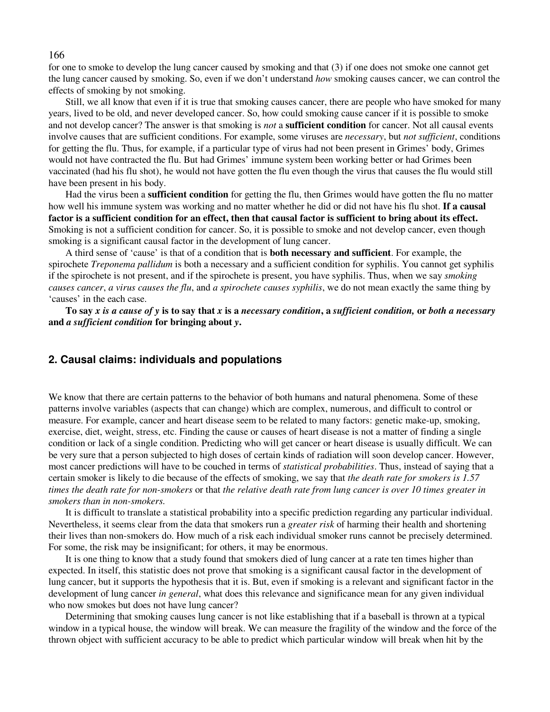for one to smoke to develop the lung cancer caused by smoking and that (3) if one does not smoke one cannot get the lung cancer caused by smoking. So, even if we don't understand *how* smoking causes cancer, we can control the effects of smoking by not smoking.

Still, we all know that even if it is true that smoking causes cancer, there are people who have smoked for many years, lived to be old, and never developed cancer. So, how could smoking cause cancer if it is possible to smoke and not develop cancer? The answer is that smoking is *not* a **sufficient condition** for cancer. Not all causal events involve causes that are sufficient conditions. For example, some viruses are *necessary*, but *not sufficient*, conditions for getting the flu. Thus, for example, if a particular type of virus had not been present in Grimes' body, Grimes would not have contracted the flu. But had Grimes' immune system been working better or had Grimes been vaccinated (had his flu shot), he would not have gotten the flu even though the virus that causes the flu would still have been present in his body.

Had the virus been a **sufficient condition** for getting the flu, then Grimes would have gotten the flu no matter how well his immune system was working and no matter whether he did or did not have his flu shot. **If a causal** factor is a sufficient condition for an effect, then that causal factor is sufficient to bring about its effect. Smoking is not a sufficient condition for cancer. So, it is possible to smoke and not develop cancer, even though smoking is a significant causal factor in the development of lung cancer.

A third sense of 'cause' is that of a condition that is **both necessary and sufficient**. For example, the spirochete *Treponema pallidum* is both a necessary and a sufficient condition for syphilis. You cannot get syphilis if the spirochete is not present, and if the spirochete is present, you have syphilis. Thus, when we say *smoking causes cancer*, *a virus causes the flu*, and *a spirochete causes syphilis*, we do not mean exactly the same thing by 'causes' in the each case.

To say x is a cause of y is to say that x is a necessary condition, a sufficient condition, or both a necessary **and** *a sufficient condition* **for bringing about** *y***.**

### **2. Causal claims: individuals and populations**

We know that there are certain patterns to the behavior of both humans and natural phenomena. Some of these patterns involve variables (aspects that can change) which are complex, numerous, and difficult to control or measure. For example, cancer and heart disease seem to be related to many factors: genetic make-up, smoking, exercise, diet, weight, stress, etc. Finding the cause or causes of heart disease is not a matter of finding a single condition or lack of a single condition. Predicting who will get cancer or heart disease is usually difficult. We can be very sure that a person subjected to high doses of certain kinds of radiation will soon develop cancer. However, most cancer predictions will have to be couched in terms of *statistical probabilities*. Thus, instead of saying that a certain smoker is likely to die because of the effects of smoking, we say that *the death rate for smokers is 1.57* times the death rate for non-smokers or that the relative death rate from lung cancer is over 10 times greater in *smokers than in non-smokers.*

It is difficult to translate a statistical probability into a specific prediction regarding any particular individual. Nevertheless, it seems clear from the data that smokers run a *greater risk* of harming their health and shortening their lives than non-smokers do. How much of a risk each individual smoker runs cannot be precisely determined. For some, the risk may be insignificant; for others, it may be enormous.

It is one thing to know that a study found that smokers died of lung cancer at a rate ten times higher than expected. In itself, this statistic does not prove that smoking is a significant causal factor in the development of lung cancer, but it supports the hypothesis that it is. But, even if smoking is a relevant and significant factor in the development of lung cancer *in general*, what does this relevance and significance mean for any given individual who now smokes but does not have lung cancer?

Determining that smoking causes lung cancer is not like establishing that if a baseball is thrown at a typical window in a typical house, the window will break. We can measure the fragility of the window and the force of the thrown object with sufficient accuracy to be able to predict which particular window will break when hit by the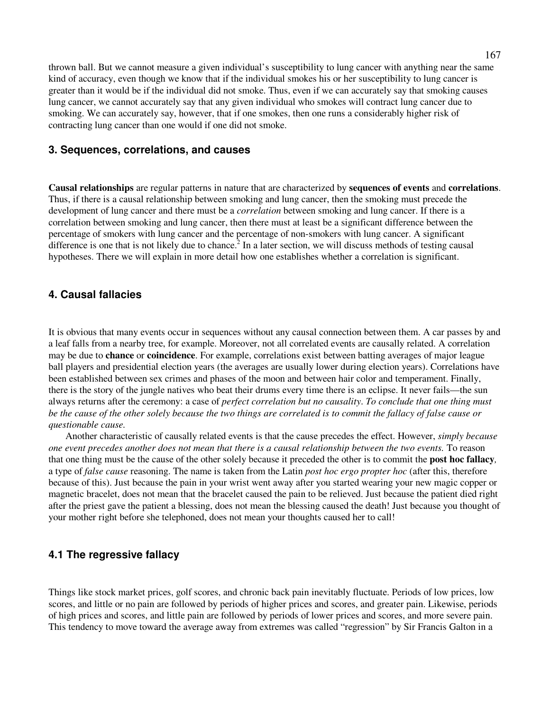thrown ball. But we cannot measure a given individual's susceptibility to lung cancer with anything near the same kind of accuracy, even though we know that if the individual smokes his or her susceptibility to lung cancer is greater than it would be if the individual did not smoke. Thus, even if we can accurately say that smoking causes lung cancer, we cannot accurately say that any given individual who smokes will contract lung cancer due to smoking. We can accurately say, however, that if one smokes, then one runs a considerably higher risk of contracting lung cancer than one would if one did not smoke.

### **3. Sequences, correlations, and causes**

**Causal relationships** are regular patterns in nature that are characterized by **sequences of events** and **correlations**. Thus, if there is a causal relationship between smoking and lung cancer, then the smoking must precede the development of lung cancer and there must be a *correlation* between smoking and lung cancer. If there is a correlation between smoking and lung cancer, then there must at least be a significant difference between the percentage of smokers with lung cancer and the percentage of non-smokers with lung cancer. A significant difference is one that is not likely due to chance.<sup>2</sup> In a later section, we will discuss methods of testing causal hypotheses. There we will explain in more detail how one establishes whether a correlation is significant.

## **4. Causal fallacies**

It is obvious that many events occur in sequences without any causal connection between them. A car passes by and a leaf falls from a nearby tree, for example. Moreover, not all correlated events are causally related. A correlation may be due to **chance** or **coincidence**. For example, correlations exist between batting averages of major league ball players and presidential election years (the averages are usually lower during election years). Correlations have been established between sex crimes and phases of the moon and between hair color and temperament. Finally, there is the story of the jungle natives who beat their drums every time there is an eclipse. It never fails—the sun always returns after the ceremony: a case of *perfect correlation but no causality*. *To conclude that one thing must* be the cause of the other solely because the two things are correlated is to commit the fallacy of false cause or *questionable cause.*

Another characteristic of causally related events is that the cause precedes the effect. However, *simply because* one event precedes another does not mean that there is a causal relationship between the two events. To reason that one thing must be the cause of the other solely because it preceded the other is to commit the **post hoc fallacy***,* a type of *false cause* reasoning. The name is taken from the Latin *post hoc ergo propter hoc* (after this, therefore because of this). Just because the pain in your wrist went away after you started wearing your new magic copper or magnetic bracelet, does not mean that the bracelet caused the pain to be relieved. Just because the patient died right after the priest gave the patient a blessing, does not mean the blessing caused the death! Just because you thought of your mother right before she telephoned, does not mean your thoughts caused her to call!

# **4.1 The regressive fallacy**

Things like stock market prices, golf scores, and chronic back pain inevitably fluctuate. Periods of low prices, low scores, and little or no pain are followed by periods of higher prices and scores, and greater pain. Likewise, periods of high prices and scores, and little pain are followed by periods of lower prices and scores, and more severe pain. This tendency to move toward the average away from extremes was called "regression" by Sir Francis Galton in a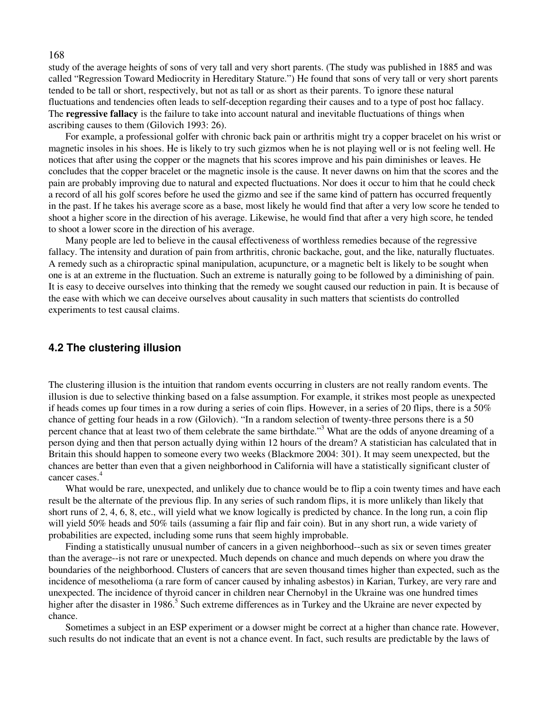study of the average heights of sons of very tall and very short parents. (The study was published in 1885 and was called "Regression Toward Mediocrity in Hereditary Stature.") He found that sons of very tall or very short parents tended to be tall or short, respectively, but not as tall or as short as their parents. To ignore these natural fluctuations and tendencies often leads to self-deception regarding their causes and to a type of post hoc fallacy. The **regressive fallacy** is the failure to take into account natural and inevitable fluctuations of things when ascribing causes to them (Gilovich 1993: 26).

For example, a professional golfer with chronic back pain or arthritis might try a copper bracelet on his wrist or magnetic insoles in his shoes. He is likely to try such gizmos when he is not playing well or is not feeling well. He notices that after using the copper or the magnets that his scores improve and his pain diminishes or leaves. He concludes that the copper bracelet or the magnetic insole is the cause. It never dawns on him that the scores and the pain are probably improving due to natural and expected fluctuations. Nor does it occur to him that he could check a record of all his golf scores before he used the gizmo and see if the same kind of pattern has occurred frequently in the past. If he takes his average score as a base, most likely he would find that after a very low score he tended to shoot a higher score in the direction of his average. Likewise, he would find that after a very high score, he tended to shoot a lower score in the direction of his average.

Many people are led to believe in the causal effectiveness of worthless remedies because of the regressive fallacy. The intensity and duration of pain from arthritis, chronic backache, gout, and the like, naturally fluctuates. A remedy such as a chiropractic spinal manipulation, acupuncture, or a magnetic belt is likely to be sought when one is at an extreme in the fluctuation. Such an extreme is naturally going to be followed by a diminishing of pain. It is easy to deceive ourselves into thinking that the remedy we sought caused our reduction in pain. It is because of the ease with which we can deceive ourselves about causality in such matters that scientists do controlled experiments to test causal claims.

# **4.2 The clustering illusion**

The clustering illusion is the intuition that random events occurring in clusters are not really random events. The illusion is due to selective thinking based on a false assumption. For example, it strikes most people as unexpected if heads comes up four times in a row during a series of coin flips. However, in a series of 20 flips, there is a 50% chance of getting four heads in a row (Gilovich). "In a random selection of twenty-three persons there is a 50 percent chance that at least two of them celebrate the same birthdate."<sup>3</sup> What are the odds of anyone dreaming of a person dying and then that person actually dying within 12 hours of the dream? A statistician has calculated that in Britain this should happen to someone every two weeks (Blackmore 2004: 301). It may seem unexpected, but the chances are better than even that a given neighborhood in California will have a statistically significant cluster of cancer cases. 4

What would be rare, unexpected, and unlikely due to chance would be to flip a coin twenty times and have each result be the alternate of the previous flip. In any series of such random flips, it is more unlikely than likely that short runs of 2, 4, 6, 8, etc., will yield what we know logically is predicted by chance. In the long run, a coin flip will yield 50% heads and 50% tails (assuming a fair flip and fair coin). But in any short run, a wide variety of probabilities are expected, including some runs that seem highly improbable.

Finding a statistically unusual number of cancers in a given neighborhood--such as six or seven times greater than the average--is not rare or unexpected. Much depends on chance and much depends on where you draw the boundaries of the neighborhood. Clusters of cancers that are seven thousand times higher than expected, such as the incidence of mesothelioma (a rare form of cancer caused by inhaling asbestos) in Karian, Turkey, are very rare and unexpected. The incidence of thyroid cancer in children near Chernobyl in the Ukraine was one hundred times higher after the disaster in 1986.<sup>5</sup> Such extreme differences as in Turkey and the Ukraine are never expected by chance.

Sometimes a subject in an ESP experiment or a dowser might be correct at a higher than chance rate. However, such results do not indicate that an event is not a chance event. In fact, such results are predictable by the laws of

#### 168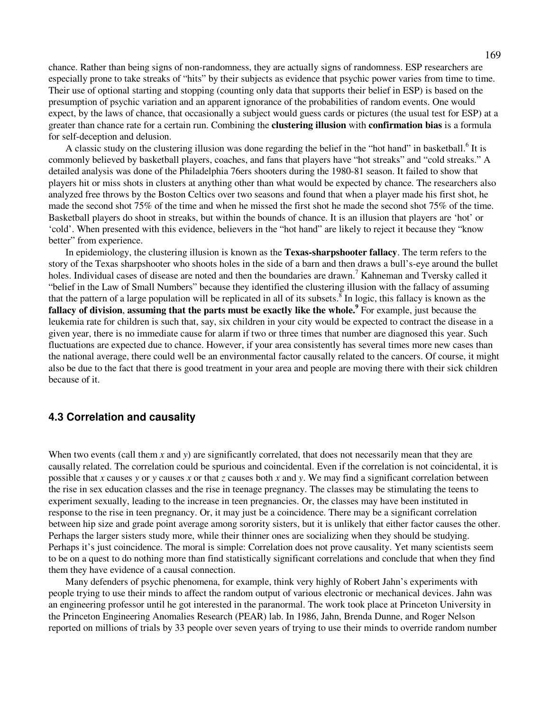chance. Rather than being signs of non-randomness, they are actually signs of randomness. ESP researchers are especially prone to take streaks of "hits" by their subjects as evidence that psychic power varies from time to time. Their use of optional starting and stopping (counting only data that supports their belief in ESP) is based on the presumption of psychic variation and an apparent ignorance of the probabilities of random events. One would expect, by the laws of chance, that occasionally a subject would guess cards or pictures (the usual test for ESP) at a greater than chance rate for a certain run. Combining the **clustering illusion** with **confirmation bias** is a formula for self-deception and delusion.

A classic study on the clustering illusion was done regarding the belief in the "hot hand" in basketball.<sup>6</sup> It is commonly believed by basketball players, coaches, and fans that players have "hot streaks" and "cold streaks." A detailed analysis was done of the Philadelphia 76ers shooters during the 1980-81 season. It failed to show that players hit or miss shots in clusters at anything other than what would be expected by chance. The researchers also analyzed free throws by the Boston Celtics over two seasons and found that when a player made his first shot, he made the second shot 75% of the time and when he missed the first shot he made the second shot 75% of the time. Basketball players do shoot in streaks, but within the bounds of chance. It is an illusion that players are 'hot' or 'cold'. When presented with this evidence, believers in the "hot hand" are likely to reject it because they "know better" from experience.

In epidemiology, the clustering illusion is known as the **Texas-sharpshooter fallacy**. The term refers to the story of the Texas sharpshooter who shoots holes in the side of a barn and then draws a bull's-eye around the bullet holes. Individual cases of disease are noted and then the boundaries are drawn.<sup>7</sup> Kahneman and Tversky called it "belief in the Law of Small Numbers" because they identified the clustering illusion with the fallacy of assuming that the pattern of a large population will be replicated in all of its subsets.<sup>8</sup> In logic, this fallacy is known as the **fallacy of division**, **assuming that the parts must be exactly like the whole. 9** For example, just because the leukemia rate for children is such that, say, six children in your city would be expected to contract the disease in a given year, there is no immediate cause for alarm if two or three times that number are diagnosed this year. Such fluctuations are expected due to chance. However, if your area consistently has several times more new cases than the national average, there could well be an environmental factor causally related to the cancers. Of course, it might also be due to the fact that there is good treatment in your area and people are moving there with their sick children because of it.

#### **4.3 Correlation and causality**

When two events (call them *x* and *y*) are significantly correlated, that does not necessarily mean that they are causally related. The correlation could be spurious and coincidental. Even if the correlation is not coincidental, it is possible that *x* causes *y* or *y* causes *x* or that *z* causes both *x* and *y*. We may find a significant correlation between the rise in sex education classes and the rise in teenage pregnancy. The classes may be stimulating the teens to experiment sexually, leading to the increase in teen pregnancies. Or, the classes may have been instituted in response to the rise in teen pregnancy. Or, it may just be a coincidence. There may be a significant correlation between hip size and grade point average among sorority sisters, but it is unlikely that either factor causes the other. Perhaps the larger sisters study more, while their thinner ones are socializing when they should be studying. Perhaps it's just coincidence. The moral is simple: Correlation does not prove causality. Yet many scientists seem to be on a quest to do nothing more than find statistically significant correlations and conclude that when they find them they have evidence of a causal connection.

Many defenders of psychic phenomena, for example, think very highly of Robert Jahn's experiments with people trying to use their minds to affect the random output of various electronic or mechanical devices. Jahn was an engineering professor until he got interested in the paranormal. The work took place at Princeton University in the Princeton Engineering Anomalies Research (PEAR) lab. In 1986, Jahn, Brenda Dunne, and Roger Nelson reported on millions of trials by 33 people over seven years of trying to use their minds to override random number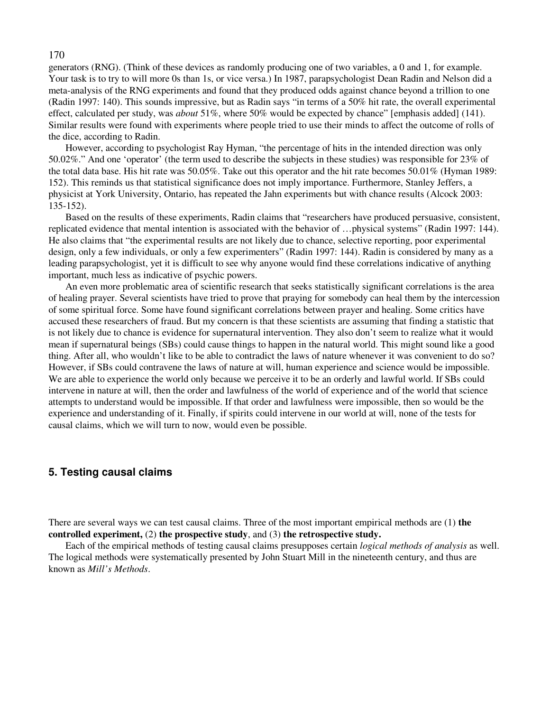generators (RNG). (Think of these devices as randomly producing one of two variables, a 0 and 1, for example. Your task is to try to will more 0s than 1s, or vice versa.) In 1987, parapsychologist Dean Radin and Nelson did a meta-analysis of the RNG experiments and found that they produced odds against chance beyond a trillion to one (Radin 1997: 140). This sounds impressive, but as Radin says "in terms of a 50% hit rate, the overall experimental effect, calculated per study, was *about* 51%, where 50% would be expected by chance" [emphasis added] (141). Similar results were found with experiments where people tried to use their minds to affect the outcome of rolls of the dice, according to Radin.

However, according to psychologist Ray Hyman, "the percentage of hits in the intended direction was only 50.02%." And one 'operator' (the term used to describe the subjects in these studies) was responsible for 23% of the total data base. His hit rate was 50.05%. Take out this operator and the hit rate becomes 50.01% (Hyman 1989: 152). This reminds us that statistical significance does not imply importance. Furthermore, Stanley Jeffers, a physicist at York University, Ontario, has repeated the Jahn experiments but with chance results (Alcock 2003: 135-152).

Based on the results of these experiments, Radin claims that "researchers have produced persuasive, consistent, replicated evidence that mental intention is associated with the behavior of …physical systems" (Radin 1997: 144). He also claims that "the experimental results are not likely due to chance, selective reporting, poor experimental design, only a few individuals, or only a few experimenters" (Radin 1997: 144). Radin is considered by many as a leading parapsychologist, yet it is difficult to see why anyone would find these correlations indicative of anything important, much less as indicative of psychic powers.

An even more problematic area of scientific research that seeks statistically significant correlations is the area of healing prayer. Several scientists have tried to prove that praying for somebody can heal them by the intercession of some spiritual force. Some have found significant correlations between prayer and healing. Some critics have accused these researchers of fraud. But my concern is that these scientists are assuming that finding a statistic that is not likely due to chance is evidence for supernatural intervention. They also don't seem to realize what it would mean if supernatural beings (SBs) could cause things to happen in the natural world. This might sound like a good thing. After all, who wouldn't like to be able to contradict the laws of nature whenever it was convenient to do so? However, if SBs could contravene the laws of nature at will, human experience and science would be impossible. We are able to experience the world only because we perceive it to be an orderly and lawful world. If SBs could intervene in nature at will, then the order and lawfulness of the world of experience and of the world that science attempts to understand would be impossible. If that order and lawfulness were impossible, then so would be the experience and understanding of it. Finally, if spirits could intervene in our world at will, none of the tests for causal claims, which we will turn to now, would even be possible.

# **5. Testing causal claims**

There are several ways we can test causal claims. Three of the most important empirical methods are (1) **the controlled experiment,** (2) **the prospective study**, and (3) **the retrospective study.**

Each of the empirical methods of testing causal claims presupposes certain *logical methods of analysis* as well. The logical methods were systematically presented by John Stuart Mill in the nineteenth century, and thus are known as *Mill's Methods*.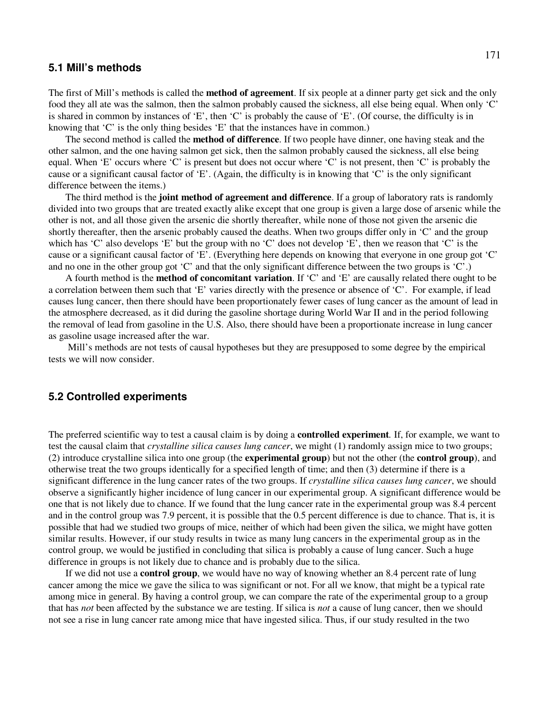#### **5.1 Mill's methods**

The first of Mill's methods is called the **method of agreement**. If six people at a dinner party get sick and the only food they all ate was the salmon, then the salmon probably caused the sickness, all else being equal. When only 'C' is shared in common by instances of 'E', then 'C' is probably the cause of 'E'. (Of course, the difficulty is in knowing that 'C' is the only thing besides 'E' that the instances have in common.)

The second method is called the **method of difference**. If two people have dinner, one having steak and the other salmon, and the one having salmon get sick, then the salmon probably caused the sickness, all else being equal. When 'E' occurs where 'C' is present but does not occur where 'C' is not present, then 'C' is probably the cause or a significant causal factor of 'E'. (Again, the difficulty is in knowing that 'C' is the only significant difference between the items.)

The third method is the **joint method of agreement and difference**. If a group of laboratory rats is randomly divided into two groups that are treated exactly alike except that one group is given a large dose of arsenic while the other is not, and all those given the arsenic die shortly thereafter, while none of those not given the arsenic die shortly thereafter, then the arsenic probably caused the deaths. When two groups differ only in 'C' and the group which has 'C' also develops 'E' but the group with no 'C' does not develop 'E', then we reason that 'C' is the cause or a significant causal factor of 'E'. (Everything here depends on knowing that everyone in one group got 'C' and no one in the other group got 'C' and that the only significant difference between the two groups is 'C'.)

A fourth method is the **method of concomitant variation**. If 'C' and 'E' are causally related there ought to be a correlation between them such that 'E' varies directly with the presence or absence of 'C'. For example, if lead causes lung cancer, then there should have been proportionately fewer cases of lung cancer as the amount of lead in the atmosphere decreased, as it did during the gasoline shortage during World War II and in the period following the removal of lead from gasoline in the U.S. Also, there should have been a proportionate increase in lung cancer as gasoline usage increased after the war.

Mill's methods are not tests of causal hypotheses but they are presupposed to some degree by the empirical tests we will now consider.

#### **5.2 Controlled experiments**

The preferred scientific way to test a causal claim is by doing a **controlled experiment***.* If, for example, we want to test the causal claim that *crystalline silica causes lung cancer*, we might (1) randomly assign mice to two groups; (2) introduce crystalline silica into one group (the **experimental group**) but not the other (the **control group**), and otherwise treat the two groups identically for a specified length of time; and then (3) determine if there is a significant difference in the lung cancer rates of the two groups. If *crystalline silica causes lung cancer*, we should observe a significantly higher incidence of lung cancer in our experimental group. A significant difference would be one that is not likely due to chance. If we found that the lung cancer rate in the experimental group was 8.4 percent and in the control group was 7.9 percent, it is possible that the 0.5 percent difference is due to chance. That is, it is possible that had we studied two groups of mice, neither of which had been given the silica, we might have gotten similar results. However, if our study results in twice as many lung cancers in the experimental group as in the control group, we would be justified in concluding that silica is probably a cause of lung cancer. Such a huge difference in groups is not likely due to chance and is probably due to the silica.

If we did not use a **control group**, we would have no way of knowing whether an 8.4 percent rate of lung cancer among the mice we gave the silica to was significant or not. For all we know, that might be a typical rate among mice in general. By having a control group, we can compare the rate of the experimental group to a group that has *not* been affected by the substance we are testing. If silica is *not* a cause of lung cancer, then we should not see a rise in lung cancer rate among mice that have ingested silica. Thus, if our study resulted in the two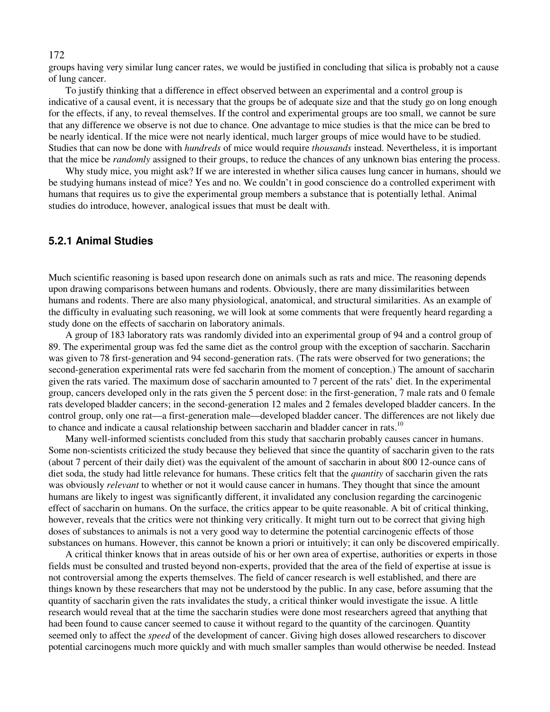groups having very similar lung cancer rates, we would be justified in concluding that silica is probably not a cause of lung cancer.

To justify thinking that a difference in effect observed between an experimental and a control group is indicative of a causal event, it is necessary that the groups be of adequate size and that the study go on long enough for the effects, if any, to reveal themselves. If the control and experimental groups are too small, we cannot be sure that any difference we observe is not due to chance. One advantage to mice studies is that the mice can be bred to be nearly identical. If the mice were not nearly identical, much larger groups of mice would have to be studied. Studies that can now be done with *hundreds* of mice would require *thousands* instead. Nevertheless, it is important that the mice be *randomly* assigned to their groups, to reduce the chances of any unknown bias entering the process.

Why study mice, you might ask? If we are interested in whether silica causes lung cancer in humans, should we be studying humans instead of mice? Yes and no. We couldn't in good conscience do a controlled experiment with humans that requires us to give the experimental group members a substance that is potentially lethal. Animal studies do introduce, however, analogical issues that must be dealt with.

## **5.2.1 Animal Studies**

Much scientific reasoning is based upon research done on animals such as rats and mice. The reasoning depends upon drawing comparisons between humans and rodents. Obviously, there are many dissimilarities between humans and rodents. There are also many physiological, anatomical, and structural similarities. As an example of the difficulty in evaluating such reasoning, we will look at some comments that were frequently heard regarding a study done on the effects of saccharin on laboratory animals.

A group of 183 laboratory rats was randomly divided into an experimental group of 94 and a control group of 89. The experimental group was fed the same diet as the control group with the exception of saccharin. Saccharin was given to 78 first-generation and 94 second-generation rats. (The rats were observed for two generations; the second-generation experimental rats were fed saccharin from the moment of conception.) The amount of saccharin given the rats varied. The maximum dose of saccharin amounted to 7 percent of the rats' diet. In the experimental group, cancers developed only in the rats given the 5 percent dose: in the first-generation, 7 male rats and 0 female rats developed bladder cancers; in the second-generation 12 males and 2 females developed bladder cancers. In the control group, only one rat—a first-generation male—developed bladder cancer. The differences are not likely due to chance and indicate a causal relationship between saccharin and bladder cancer in rats.<sup>10</sup>

Many well-informed scientists concluded from this study that saccharin probably causes cancer in humans. Some non-scientists criticized the study because they believed that since the quantity of saccharin given to the rats (about 7 percent of their daily diet) was the equivalent of the amount of saccharin in about 800 12-ounce cans of diet soda, the study had little relevance for humans. These critics felt that the *quantity* of saccharin given the rats was obviously *relevant* to whether or not it would cause cancer in humans. They thought that since the amount humans are likely to ingest was significantly different, it invalidated any conclusion regarding the carcinogenic effect of saccharin on humans. On the surface, the critics appear to be quite reasonable. A bit of critical thinking, however, reveals that the critics were not thinking very critically. It might turn out to be correct that giving high doses of substances to animals is not a very good way to determine the potential carcinogenic effects of those substances on humans. However, this cannot be known a priori or intuitively; it can only be discovered empirically.

A critical thinker knows that in areas outside of his or her own area of expertise, authorities or experts in those fields must be consulted and trusted beyond non-experts, provided that the area of the field of expertise at issue is not controversial among the experts themselves. The field of cancer research is well established, and there are things known by these researchers that may not be understood by the public. In any case, before assuming that the quantity of saccharin given the rats invalidates the study, a critical thinker would investigate the issue. A little research would reveal that at the time the saccharin studies were done most researchers agreed that anything that had been found to cause cancer seemed to cause it without regard to the quantity of the carcinogen. Quantity seemed only to affect the *speed* of the development of cancer. Giving high doses allowed researchers to discover potential carcinogens much more quickly and with much smaller samples than would otherwise be needed. Instead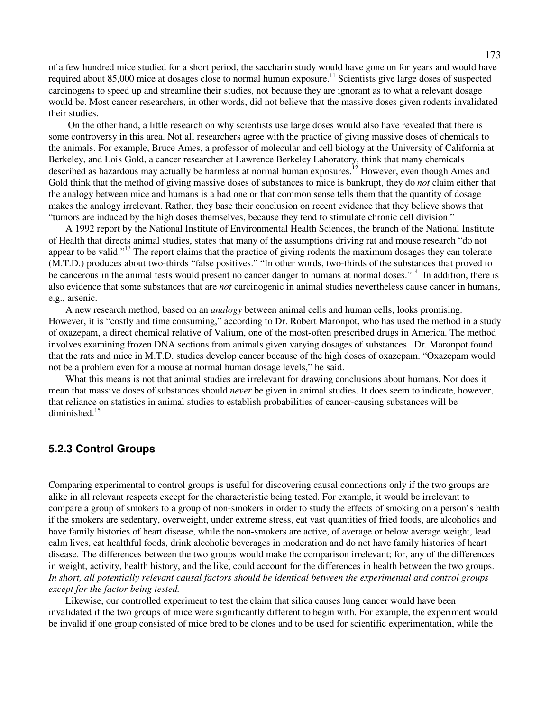of a few hundred mice studied for a short period, the saccharin study would have gone on for years and would have required about 85,000 mice at dosages close to normal human exposure.<sup>11</sup> Scientists give large doses of suspected carcinogens to speed up and streamline their studies, not because they are ignorant as to what a relevant dosage would be. Most cancer researchers, in other words, did not believe that the massive doses given rodents invalidated their studies.

On the other hand, a little research on why scientists use large doses would also have revealed that there is some controversy in this area. Not all researchers agree with the practice of giving massive doses of chemicals to the animals. For example, Bruce Ames, a professor of molecular and cell biology at the University of California at Berkeley, and Lois Gold, a cancer researcher at Lawrence Berkeley Laboratory, think that many chemicals described as hazardous may actually be harmless at normal human exposures.<sup>12</sup> However, even though Ames and Gold think that the method of giving massive doses of substances to mice is bankrupt, they do *not* claim either that the analogy between mice and humans is a bad one or that common sense tells them that the quantity of dosage makes the analogy irrelevant. Rather, they base their conclusion on recent evidence that they believe shows that "tumors are induced by the high doses themselves, because they tend to stimulate chronic cell division."

A 1992 report by the National Institute of Environmental Health Sciences, the branch of the National Institute of Health that directs animal studies, states that many of the assumptions driving rat and mouse research "do not appear to be valid."<sup>13</sup> The report claims that the practice of giving rodents the maximum dosages they can tolerate (M.T.D.) produces about two-thirds "false positives." "In other words, two-thirds of the substances that proved to be cancerous in the animal tests would present no cancer danger to humans at normal doses."<sup>14</sup> In addition, there is also evidence that some substances that are *not* carcinogenic in animal studies nevertheless cause cancer in humans, e.g., arsenic.

A new research method, based on an *analogy* between animal cells and human cells, looks promising. However, it is "costly and time consuming," according to Dr. Robert Maronpot, who has used the method in a study of oxazepam, a direct chemical relative of Valium, one of the most-often prescribed drugs in America. The method involves examining frozen DNA sections from animals given varying dosages of substances. Dr. Maronpot found that the rats and mice in M.T.D. studies develop cancer because of the high doses of oxazepam. "Oxazepam would not be a problem even for a mouse at normal human dosage levels," he said.

What this means is not that animal studies are irrelevant for drawing conclusions about humans. Nor does it mean that massive doses of substances should *never* be given in animal studies. It does seem to indicate, however, that reliance on statistics in animal studies to establish probabilities of cancer-causing substances will be diminished.<sup>15</sup>

### **5.2.3 Control Groups**

Comparing experimental to control groups is useful for discovering causal connections only if the two groups are alike in all relevant respects except for the characteristic being tested. For example, it would be irrelevant to compare a group of smokers to a group of non-smokers in order to study the effects of smoking on a person's health if the smokers are sedentary, overweight, under extreme stress, eat vast quantities of fried foods, are alcoholics and have family histories of heart disease, while the non-smokers are active, of average or below average weight, lead calm lives, eat healthful foods, drink alcoholic beverages in moderation and do not have family histories of heart disease. The differences between the two groups would make the comparison irrelevant; for, any of the differences in weight, activity, health history, and the like, could account for the differences in health between the two groups. In short, all potentially relevant causal factors should be identical between the experimental and control groups *except for the factor being tested.*

Likewise, our controlled experiment to test the claim that silica causes lung cancer would have been invalidated if the two groups of mice were significantly different to begin with. For example, the experiment would be invalid if one group consisted of mice bred to be clones and to be used for scientific experimentation, while the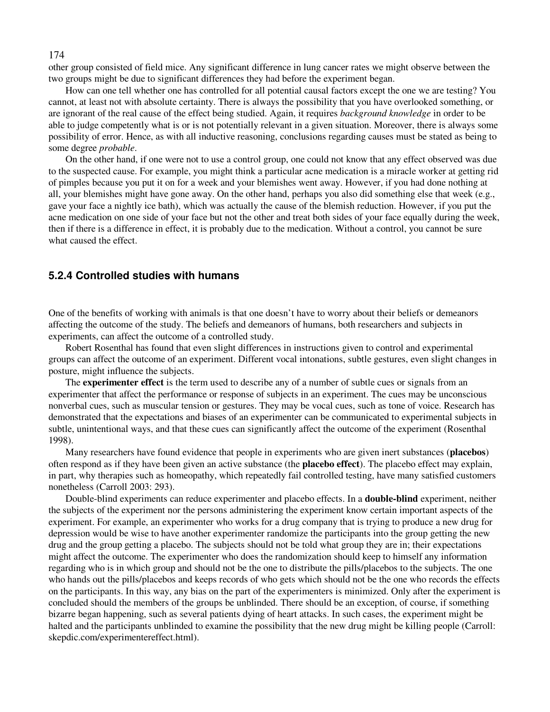other group consisted of field mice. Any significant difference in lung cancer rates we might observe between the two groups might be due to significant differences they had before the experiment began.

How can one tell whether one has controlled for all potential causal factors except the one we are testing? You cannot, at least not with absolute certainty. There is always the possibility that you have overlooked something, or are ignorant of the real cause of the effect being studied. Again, it requires *background knowledge* in order to be able to judge competently what is or is not potentially relevant in a given situation. Moreover, there is always some possibility of error. Hence, as with all inductive reasoning, conclusions regarding causes must be stated as being to some degree *probable*.

On the other hand, if one were not to use a control group, one could not know that any effect observed was due to the suspected cause. For example, you might think a particular acne medication is a miracle worker at getting rid of pimples because you put it on for a week and your blemishes went away. However, if you had done nothing at all, your blemishes might have gone away. On the other hand, perhaps you also did something else that week (e.g., gave your face a nightly ice bath), which was actually the cause of the blemish reduction. However, if you put the acne medication on one side of your face but not the other and treat both sides of your face equally during the week, then if there is a difference in effect, it is probably due to the medication. Without a control, you cannot be sure what caused the effect.

# **5.2.4 Controlled studies with humans**

One of the benefits of working with animals is that one doesn't have to worry about their beliefs or demeanors affecting the outcome of the study. The beliefs and demeanors of humans, both researchers and subjects in experiments, can affect the outcome of a controlled study.

Robert Rosenthal has found that even slight differences in instructions given to control and experimental groups can affect the outcome of an experiment. Different vocal intonations, subtle gestures, even slight changes in posture, might influence the subjects.

The **experimenter effect** is the term used to describe any of a number of subtle cues or signals from an experimenter that affect the performance or response of subjects in an experiment. The cues may be unconscious nonverbal cues, such as muscular tension or gestures. They may be vocal cues, such as tone of voice. Research has demonstrated that the expectations and biases of an experimenter can be communicated to experimental subjects in subtle, unintentional ways, and that these cues can significantly affect the outcome of the experiment (Rosenthal 1998).

Many researchers have found evidence that people in experiments who are given inert substances (**placebos**) often respond as if they have been given an active substance (the **placebo effect**). The placebo effect may explain, in part, why therapies such as homeopathy, which repeatedly fail controlled testing, have many satisfied customers nonetheless (Carroll 2003: 293).

Double-blind experiments can reduce experimenter and placebo effects. In a **double-blind** experiment, neither the subjects of the experiment nor the persons administering the experiment know certain important aspects of the experiment. For example, an experimenter who works for a drug company that is trying to produce a new drug for depression would be wise to have another experimenter randomize the participants into the group getting the new drug and the group getting a placebo. The subjects should not be told what group they are in; their expectations might affect the outcome. The experimenter who does the randomization should keep to himself any information regarding who is in which group and should not be the one to distribute the pills/placebos to the subjects. The one who hands out the pills/placebos and keeps records of who gets which should not be the one who records the effects on the participants. In this way, any bias on the part of the experimenters is minimized. Only after the experiment is concluded should the members of the groups be unblinded. There should be an exception, of course, if something bizarre began happening, such as several patients dying of heart attacks. In such cases, the experiment might be halted and the participants unblinded to examine the possibility that the new drug might be killing people (Carroll: skepdic.com/experimentereffect.html).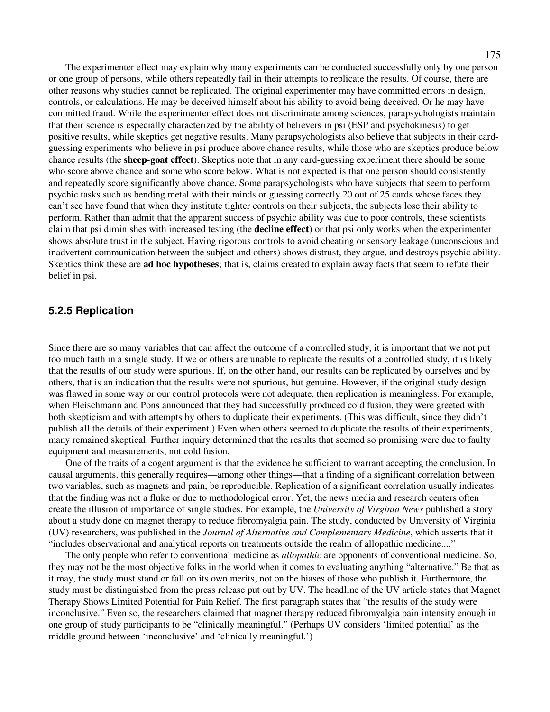The experimenter effect may explain why many experiments can be conducted successfully only by one person or one group of persons, while others repeatedly fail in their attempts to replicate the results. Of course, there are other reasons why studies cannot be replicated. The original experimenter may have committed errors in design, controls, or calculations. He may be deceived himself about his ability to avoid being deceived. Or he may have committed fraud. While the experimenter effect does not discriminate among sciences, parapsychologists maintain that their science is especially characterized by the ability of believers in psi (ESP and psychokinesis) to get positive results, while skeptics get negative results. Many parapsychologists also believe that subjects in their cardguessing experiments who believe in psi produce above chance results, while those who are skeptics produce below chance results (the **sheep-goat effect**). Skeptics note that in any card-guessing experiment there should be some who score above chance and some who score below. What is not expected is that one person should consistently and repeatedly score significantly above chance. Some parapsychologists who have subjects that seem to perform psychic tasks such as bending metal with their minds or guessing correctly 20 out of 25 cards whose faces they can't see have found that when they institute tighter controls on their subjects, the subjects lose their ability to perform. Rather than admit that the apparent success of psychic ability was due to poor controls, these scientists claim that psi diminishes with increased testing (the **decline effect**) or that psi only works when the experimenter shows absolute trust in the subject. Having rigorous controls to avoid cheating or sensory leakage (unconscious and inadvertent communication between the subject and others) shows distrust, they argue, and destroys psychic ability. Skeptics think these are **ad hoc hypotheses**; that is, claims created to explain away facts that seem to refute their belief in psi.

### **5.2.5 Replication**

Since there are so many variables that can affect the outcome of a controlled study, it is important that we not put too much faith in a single study. If we or others are unable to replicate the results of a controlled study, it is likely that the results of our study were spurious. If, on the other hand, our results can be replicated by ourselves and by others, that is an indication that the results were not spurious, but genuine. However, if the original study design was flawed in some way or our control protocols were not adequate, then replication is meaningless. For example, when Fleischmann and Pons announced that they had successfully produced cold fusion, they were greeted with both skepticism and with attempts by others to duplicate their experiments. (This was difficult, since they didn't publish all the details of their experiment.) Even when others seemed to duplicate the results of their experiments, many remained skeptical. Further inquiry determined that the results that seemed so promising were due to faulty equipment and measurements, not cold fusion.

One of the traits of a cogent argument is that the evidence be sufficient to warrant accepting the conclusion. In causal arguments, this generally requires—among other things—that a finding of a significant correlation between two variables, such as magnets and pain, be reproducible. Replication of a significant correlation usually indicates that the finding was not a fluke or due to methodological error. Yet, the news media and research centers often create the illusion of importance of single studies. For example, the *University of Virginia News* published a story about a study done on magnet therapy to reduce fibromyalgia pain. The study, conducted by University of Virginia (UV) researchers, was published in the *Journal of Alternative and Complementary Medicine*, which asserts that it "includes observational and analytical reports on treatments outside the realm of allopathic medicine...."

The only people who refer to conventional medicine as *allopathic* are opponents of conventional medicine. So, they may not be the most objective folks in the world when it comes to evaluating anything "alternative." Be that as it may, the study must stand or fall on its own merits, not on the biases of those who publish it. Furthermore, the study must be distinguished from the press release put out by UV. The headline of the UV article states that Magnet Therapy Shows Limited Potential for Pain Relief. The first paragraph states that "the results of the study were inconclusive." Even so, the researchers claimed that magnet therapy reduced fibromyalgia pain intensity enough in one group of study participants to be "clinically meaningful." (Perhaps UV considers 'limited potential' as the middle ground between 'inconclusive' and 'clinically meaningful.')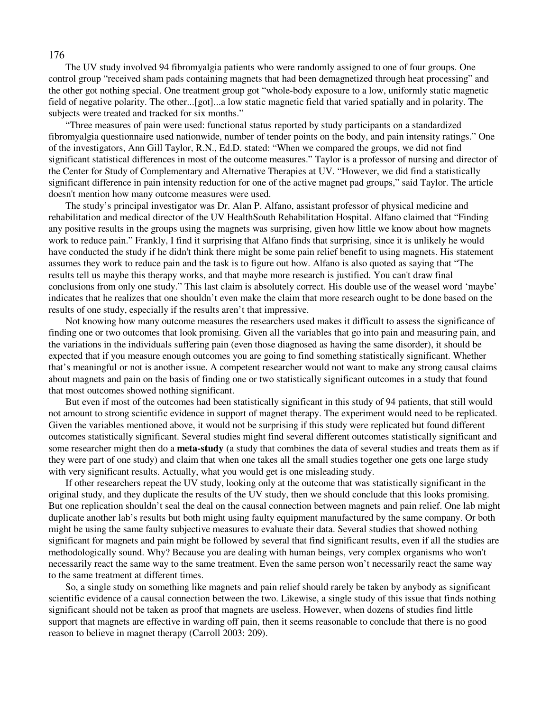The UV study involved 94 fibromyalgia patients who were randomly assigned to one of four groups. One control group "received sham pads containing magnets that had been demagnetized through heat processing" and the other got nothing special. One treatment group got "whole-body exposure to a low, uniformly static magnetic field of negative polarity. The other...[got]...a low static magnetic field that varied spatially and in polarity. The subjects were treated and tracked for six months."

"Three measures of pain were used: functional status reported by study participants on a standardized fibromyalgia questionnaire used nationwide, number of tender points on the body, and pain intensity ratings." One of the investigators, Ann Gill Taylor, R.N., Ed.D. stated: "When we compared the groups, we did not find significant statistical differences in most of the outcome measures." Taylor is a professor of nursing and director of the Center for Study of Complementary and Alternative Therapies at UV. "However, we did find a statistically significant difference in pain intensity reduction for one of the active magnet pad groups," said Taylor. The article doesn't mention how many outcome measures were used.

The study's principal investigator was Dr. Alan P. Alfano, assistant professor of physical medicine and rehabilitation and medical director of the UV HealthSouth Rehabilitation Hospital. Alfano claimed that "Finding any positive results in the groups using the magnets was surprising, given how little we know about how magnets work to reduce pain." Frankly, I find it surprising that Alfano finds that surprising, since it is unlikely he would have conducted the study if he didn't think there might be some pain relief benefit to using magnets. His statement assumes they work to reduce pain and the task is to figure out how. Alfano is also quoted as saying that "The results tell us maybe this therapy works, and that maybe more research is justified. You can't draw final conclusions from only one study." This last claim is absolutely correct. His double use of the weasel word 'maybe' indicates that he realizes that one shouldn't even make the claim that more research ought to be done based on the results of one study, especially if the results aren't that impressive.

Not knowing how many outcome measures the researchers used makes it difficult to assess the significance of finding one or two outcomes that look promising. Given all the variables that go into pain and measuring pain, and the variations in the individuals suffering pain (even those diagnosed as having the same disorder), it should be expected that if you measure enough outcomes you are going to find something statistically significant. Whether that's meaningful or not is another issue. A competent researcher would not want to make any strong causal claims about magnets and pain on the basis of finding one or two statistically significant outcomes in a study that found that most outcomes showed nothing significant.

But even if most of the outcomes had been statistically significant in this study of 94 patients, that still would not amount to strong scientific evidence in support of magnet therapy. The experiment would need to be replicated. Given the variables mentioned above, it would not be surprising if this study were replicated but found different outcomes statistically significant. Several studies might find several different outcomes statistically significant and some researcher might then do a **meta-study** (a study that combines the data of several studies and treats them as if they were part of one study) and claim that when one takes all the small studies together one gets one large study with very significant results. Actually, what you would get is one misleading study.

If other researchers repeat the UV study, looking only at the outcome that was statistically significant in the original study, and they duplicate the results of the UV study, then we should conclude that this looks promising. But one replication shouldn't seal the deal on the causal connection between magnets and pain relief. One lab might duplicate another lab's results but both might using faulty equipment manufactured by the same company. Or both might be using the same faulty subjective measures to evaluate their data. Several studies that showed nothing significant for magnets and pain might be followed by several that find significant results, even if all the studies are methodologically sound. Why? Because you are dealing with human beings, very complex organisms who won't necessarily react the same way to the same treatment. Even the same person won't necessarily react the same way to the same treatment at different times.

So, a single study on something like magnets and pain relief should rarely be taken by anybody as significant scientific evidence of a causal connection between the two. Likewise, a single study of this issue that finds nothing significant should not be taken as proof that magnets are useless. However, when dozens of studies find little support that magnets are effective in warding off pain, then it seems reasonable to conclude that there is no good reason to believe in magnet therapy (Carroll 2003: 209).

#### 176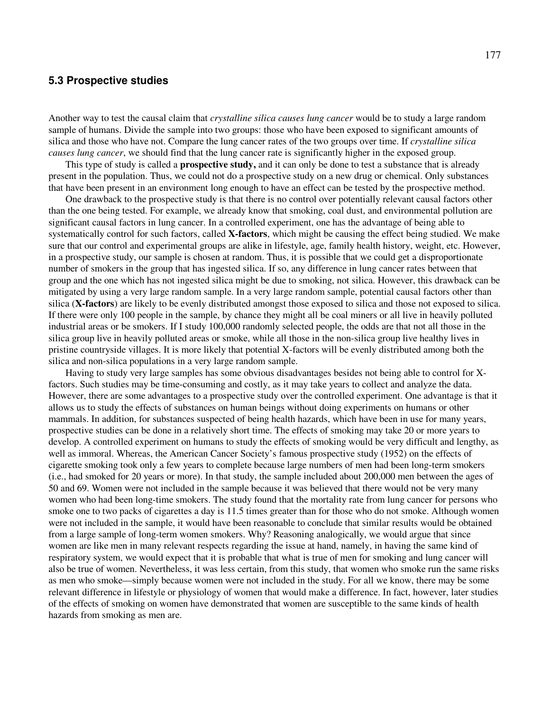### **5.3 Prospective studies**

Another way to test the causal claim that *crystalline silica causes lung cancer* would be to study a large random sample of humans. Divide the sample into two groups: those who have been exposed to significant amounts of silica and those who have not. Compare the lung cancer rates of the two groups over time. If *crystalline silica causes lung cancer*, we should find that the lung cancer rate is significantly higher in the exposed group.

This type of study is called a **prospective study,** and it can only be done to test a substance that is already present in the population. Thus, we could not do a prospective study on a new drug or chemical. Only substances that have been present in an environment long enough to have an effect can be tested by the prospective method.

One drawback to the prospective study is that there is no control over potentially relevant causal factors other than the one being tested. For example, we already know that smoking, coal dust, and environmental pollution are significant causal factors in lung cancer. In a controlled experiment, one has the advantage of being able to systematically control for such factors, called **X-factors**, which might be causing the effect being studied. We make sure that our control and experimental groups are alike in lifestyle, age, family health history, weight, etc. However, in a prospective study, our sample is chosen at random. Thus, it is possible that we could get a disproportionate number of smokers in the group that has ingested silica. If so, any difference in lung cancer rates between that group and the one which has not ingested silica might be due to smoking, not silica. However, this drawback can be mitigated by using a very large random sample. In a very large random sample, potential causal factors other than silica (**X-factors**) are likely to be evenly distributed amongst those exposed to silica and those not exposed to silica. If there were only 100 people in the sample, by chance they might all be coal miners or all live in heavily polluted industrial areas or be smokers. If I study 100,000 randomly selected people, the odds are that not all those in the silica group live in heavily polluted areas or smoke, while all those in the non-silica group live healthy lives in pristine countryside villages. It is more likely that potential X-factors will be evenly distributed among both the silica and non-silica populations in a very large random sample.

Having to study very large samples has some obvious disadvantages besides not being able to control for Xfactors. Such studies may be time-consuming and costly, as it may take years to collect and analyze the data. However, there are some advantages to a prospective study over the controlled experiment. One advantage is that it allows us to study the effects of substances on human beings without doing experiments on humans or other mammals. In addition, for substances suspected of being health hazards, which have been in use for many years, prospective studies can be done in a relatively short time. The effects of smoking may take 20 or more years to develop. A controlled experiment on humans to study the effects of smoking would be very difficult and lengthy, as well as immoral. Whereas, the American Cancer Society's famous prospective study (1952) on the effects of cigarette smoking took only a few years to complete because large numbers of men had been long-term smokers (i.e., had smoked for 20 years or more). In that study, the sample included about 200,000 men between the ages of 50 and 69. Women were not included in the sample because it was believed that there would not be very many women who had been long-time smokers. The study found that the mortality rate from lung cancer for persons who smoke one to two packs of cigarettes a day is 11.5 times greater than for those who do not smoke. Although women were not included in the sample, it would have been reasonable to conclude that similar results would be obtained from a large sample of long-term women smokers. Why? Reasoning analogically, we would argue that since women are like men in many relevant respects regarding the issue at hand, namely, in having the same kind of respiratory system, we would expect that it is probable that what is true of men for smoking and lung cancer will also be true of women. Nevertheless, it was less certain, from this study, that women who smoke run the same risks as men who smoke—simply because women were not included in the study. For all we know, there may be some relevant difference in lifestyle or physiology of women that would make a difference. In fact, however, later studies of the effects of smoking on women have demonstrated that women are susceptible to the same kinds of health hazards from smoking as men are.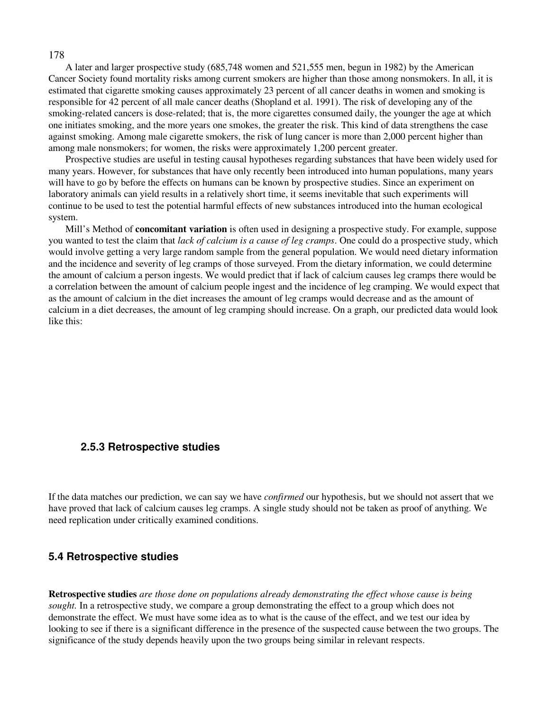A later and larger prospective study (685,748 women and 521,555 men, begun in 1982) by the American Cancer Society found mortality risks among current smokers are higher than those among nonsmokers. In all, it is estimated that cigarette smoking causes approximately 23 percent of all cancer deaths in women and smoking is responsible for 42 percent of all male cancer deaths (Shopland et al. 1991). The risk of developing any of the smoking-related cancers is dose-related; that is, the more cigarettes consumed daily, the younger the age at which one initiates smoking, and the more years one smokes, the greater the risk. This kind of data strengthens the case against smoking. Among male cigarette smokers, the risk of lung cancer is more than 2,000 percent higher than among male nonsmokers; for women, the risks were approximately 1,200 percent greater.

Prospective studies are useful in testing causal hypotheses regarding substances that have been widely used for many years. However, for substances that have only recently been introduced into human populations, many years will have to go by before the effects on humans can be known by prospective studies. Since an experiment on laboratory animals can yield results in a relatively short time, it seems inevitable that such experiments will continue to be used to test the potential harmful effects of new substances introduced into the human ecological system.

Mill's Method of **concomitant variation** is often used in designing a prospective study. For example, suppose you wanted to test the claim that *lack of calcium is a cause of leg cramps*. One could do a prospective study, which would involve getting a very large random sample from the general population. We would need dietary information and the incidence and severity of leg cramps of those surveyed. From the dietary information, we could determine the amount of calcium a person ingests. We would predict that if lack of calcium causes leg cramps there would be a correlation between the amount of calcium people ingest and the incidence of leg cramping. We would expect that as the amount of calcium in the diet increases the amount of leg cramps would decrease and as the amount of calcium in a diet decreases, the amount of leg cramping should increase. On a graph, our predicted data would look like this:

## **2.5.3 Retrospective studies**

If the data matches our prediction, we can say we have *confirmed* our hypothesis, but we should not assert that we have proved that lack of calcium causes leg cramps. A single study should not be taken as proof of anything. We need replication under critically examined conditions.

### **5.4 Retrospective studies**

**Retrospective studies** *are those done on populations already demonstrating the effect whose cause is being sought*. In a retrospective study, we compare a group demonstrating the effect to a group which does not demonstrate the effect. We must have some idea as to what is the cause of the effect, and we test our idea by looking to see if there is a significant difference in the presence of the suspected cause between the two groups. The significance of the study depends heavily upon the two groups being similar in relevant respects.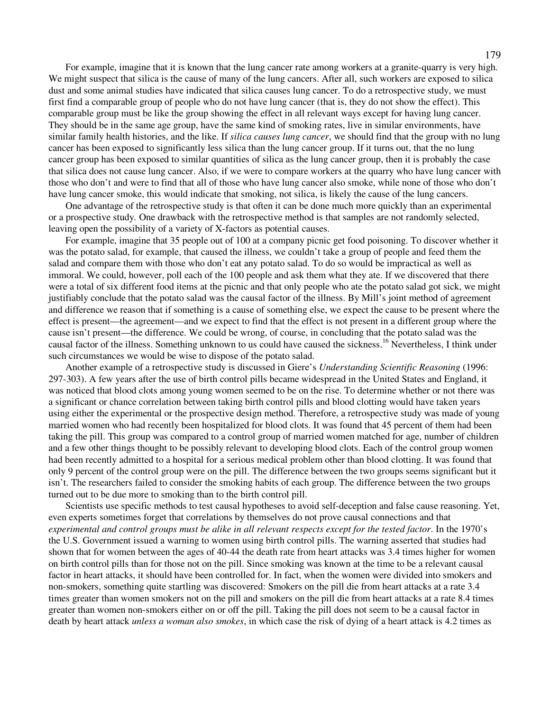For example, imagine that it is known that the lung cancer rate among workers at a granite-quarry is very high. We might suspect that silica is the cause of many of the lung cancers. After all, such workers are exposed to silica dust and some animal studies have indicated that silica causes lung cancer. To do a retrospective study, we must first find a comparable group of people who do not have lung cancer (that is, they do not show the effect). This comparable group must be like the group showing the effect in all relevant ways except for having lung cancer. They should be in the same age group, have the same kind of smoking rates, live in similar environments, have similar family health histories, and the like. If *silica causes lung cancer*, we should find that the group with no lung cancer has been exposed to significantly less silica than the lung cancer group. If it turns out, that the no lung cancer group has been exposed to similar quantities of silica as the lung cancer group, then it is probably the case that silica does not cause lung cancer. Also, if we were to compare workers at the quarry who have lung cancer with those who don't and were to find that all of those who have lung cancer also smoke, while none of those who don't have lung cancer smoke, this would indicate that smoking, not silica, is likely the cause of the lung cancers.

One advantage of the retrospective study is that often it can be done much more quickly than an experimental or a prospective study*.* One drawback with the retrospective method is that samples are not randomly selected, leaving open the possibility of a variety of X-factors as potential causes.

For example, imagine that 35 people out of 100 at a company picnic get food poisoning. To discover whether it was the potato salad, for example, that caused the illness, we couldn't take a group of people and feed them the salad and compare them with those who don't eat any potato salad. To do so would be impractical as well as immoral. We could, however, poll each of the 100 people and ask them what they ate. If we discovered that there were a total of six different food items at the picnic and that only people who ate the potato salad got sick, we might justifiably conclude that the potato salad was the causal factor of the illness. By Mill's joint method of agreement and difference we reason that if something is a cause of something else, we expect the cause to be present where the effect is present—the agreement—and we expect to find that the effect is not present in a different group where the cause isn't present—the difference. We could be wrong, of course, in concluding that the potato salad was the causal factor of the illness. Something unknown to us could have caused the sickness.<sup>16</sup> Nevertheless, I think under such circumstances we would be wise to dispose of the potato salad.

Another example of a retrospective study is discussed in Giere's *Understanding Scientific Reasoning* (1996: 297-303). A few years after the use of birth control pills became widespread in the United States and England, it was noticed that blood clots among young women seemed to be on the rise. To determine whether or not there was a significant or chance correlation between taking birth control pills and blood clotting would have taken years using either the experimental or the prospective design method. Therefore, a retrospective study was made of young married women who had recently been hospitalized for blood clots. It was found that 45 percent of them had been taking the pill. This group was compared to a control group of married women matched for age, number of children and a few other things thought to be possibly relevant to developing blood clots. Each of the control group women had been recently admitted to a hospital for a serious medical problem other than blood clotting. It was found that only 9 percent of the control group were on the pill. The difference between the two groups seems significant but it isn't. The researchers failed to consider the smoking habits of each group. The difference between the two groups turned out to be due more to smoking than to the birth control pill.

Scientists use specific methods to test causal hypotheses to avoid self-deception and false cause reasoning. Yet, even experts sometimes forget that correlations by themselves do not prove causal connections and that experimental and control groups must be alike in all relevant respects except for the tested factor. In the 1970's the U.S. Government issued a warning to women using birth control pills. The warning asserted that studies had shown that for women between the ages of 40-44 the death rate from heart attacks was 3.4 times higher for women on birth control pills than for those not on the pill. Since smoking was known at the time to be a relevant causal factor in heart attacks, it should have been controlled for. In fact, when the women were divided into smokers and non-smokers, something quite startling was discovered: Smokers on the pill die from heart attacks at a rate 3.4 times greater than women smokers not on the pill and smokers on the pill die from heart attacks at a rate 8.4 times greater than women non-smokers either on or off the pill. Taking the pill does not seem to be a causal factor in death by heart attack *unless a woman also smokes*, in which case the risk of dying of a heart attack is 4.2 times as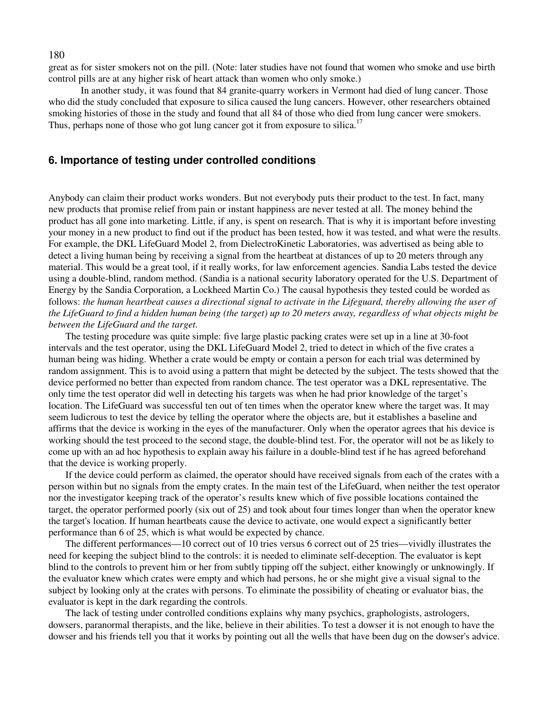great as for sister smokers not on the pill. (Note: later studies have not found that women who smoke and use birth control pills are at any higher risk of heart attack than women who only smoke.)

In another study, it was found that 84 granite-quarry workers in Vermont had died of lung cancer. Those who did the study concluded that exposure to silica caused the lung cancers. However, other researchers obtained smoking histories of those in the study and found that all 84 of those who died from lung cancer were smokers. Thus, perhaps none of those who got lung cancer got it from exposure to silica.<sup>17</sup>

# **6. Importance of testing under controlled conditions**

Anybody can claim their product works wonders. But not everybody puts their product to the test. In fact, many new products that promise relief from pain or instant happiness are never tested at all. The money behind the product has all gone into marketing. Little, if any, is spent on research. That is why it is important before investing your money in a new product to find out if the product has been tested, how it was tested, and what were the results. For example, the DKL LifeGuard Model 2, from DielectroKinetic Laboratories, was advertised as being able to detect a living human being by receiving a signal from the heartbeat at distances of up to 20 meters through any material. This would be a great tool, if it really works, for law enforcement agencies. Sandia Labs tested the device using a double-blind, random method. (Sandia is a national security laboratory operated for the U.S. Department of Energy by the Sandia Corporation, a Lockheed Martin Co.) The causal hypothesis they tested could be worded as follows: the human heartbeat causes a directional signal to activate in the Lifeguard, thereby allowing the user of the LifeGuard to find a hidden human being (the target) up to 20 meters away, regardless of what objects might be *between the LifeGuard and the target.*

The testing procedure was quite simple: five large plastic packing crates were set up in a line at 30-foot intervals and the test operator, using the DKL LifeGuard Model 2, tried to detect in which of the five crates a human being was hiding. Whether a crate would be empty or contain a person for each trial was determined by random assignment. This is to avoid using a pattern that might be detected by the subject. The tests showed that the device performed no better than expected from random chance. The test operator was a DKL representative. The only time the test operator did well in detecting his targets was when he had prior knowledge of the target's location. The LifeGuard was successful ten out of ten times when the operator knew where the target was. It may seem ludicrous to test the device by telling the operator where the objects are, but it establishes a baseline and affirms that the device is working in the eyes of the manufacturer. Only when the operator agrees that his device is working should the test proceed to the second stage, the double-blind test. For, the operator will not be as likely to come up with an ad hoc hypothesis to explain away his failure in a double-blind test if he has agreed beforehand that the device is working properly.

If the device could perform as claimed, the operator should have received signals from each of the crates with a person within but no signals from the empty crates. In the main test of the LifeGuard, when neither the test operator nor the investigator keeping track of the operator's results knew which of five possible locations contained the target, the operator performed poorly (six out of 25) and took about four times longer than when the operator knew the target's location. If human heartbeats cause the device to activate, one would expect a significantly better performance than 6 of 25, which is what would be expected by chance.

The different performances—10 correct out of 10 tries versus 6 correct out of 25 tries—vividly illustrates the need for keeping the subject blind to the controls: it is needed to eliminate self-deception. The evaluator is kept blind to the controls to prevent him or her from subtly tipping off the subject, either knowingly or unknowingly. If the evaluator knew which crates were empty and which had persons, he or she might give a visual signal to the subject by looking only at the crates with persons. To eliminate the possibility of cheating or evaluator bias, the evaluator is kept in the dark regarding the controls.

The lack of testing under controlled conditions explains why many psychics, graphologists, astrologers, dowsers, paranormal therapists, and the like, believe in their abilities. To test a dowser it is not enough to have the dowser and his friends tell you that it works by pointing out all the wells that have been dug on the dowser's advice.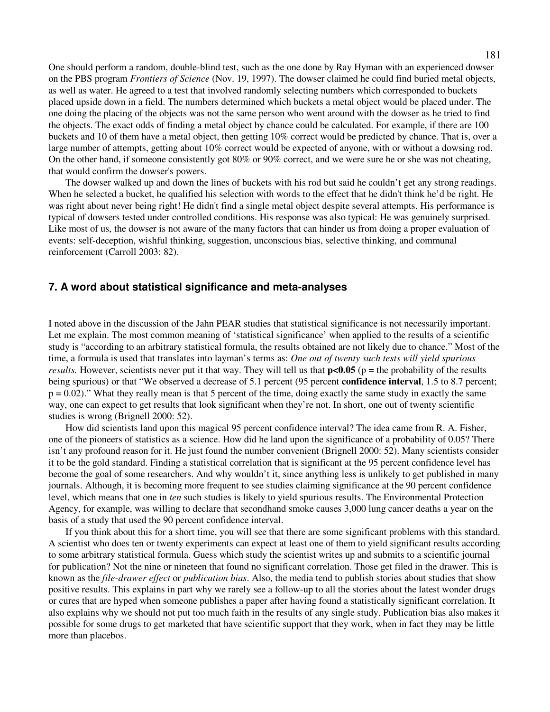One should perform a random, double-blind test, such as the one done by Ray Hyman with an experienced dowser on the PBS program *Frontiers of Science* (Nov. 19, 1997). The dowser claimed he could find buried metal objects, as well as water. He agreed to a test that involved randomly selecting numbers which corresponded to buckets placed upside down in a field. The numbers determined which buckets a metal object would be placed under. The one doing the placing of the objects was not the same person who went around with the dowser as he tried to find the objects. The exact odds of finding a metal object by chance could be calculated. For example, if there are 100 buckets and 10 of them have a metal object, then getting 10% correct would be predicted by chance. That is, over a large number of attempts, getting about 10% correct would be expected of anyone, with or without a dowsing rod. On the other hand, if someone consistently got 80% or 90% correct, and we were sure he or she was not cheating, that would confirm the dowser's powers.

The dowser walked up and down the lines of buckets with his rod but said he couldn't get any strong readings. When he selected a bucket, he qualified his selection with words to the effect that he didn't think he'd be right. He was right about never being right! He didn't find a single metal object despite several attempts. His performance is typical of dowsers tested under controlled conditions. His response was also typical: He was genuinely surprised. Like most of us, the dowser is not aware of the many factors that can hinder us from doing a proper evaluation of events: self-deception, wishful thinking, suggestion, unconscious bias, selective thinking, and communal reinforcement (Carroll 2003: 82).

# **7. A word about statistical significance and meta-analyses**

I noted above in the discussion of the Jahn PEAR studies that statistical significance is not necessarily important. Let me explain. The most common meaning of 'statistical significance' when applied to the results of a scientific study is "according to an arbitrary statistical formula, the results obtained are not likely due to chance." Most of the time, a formula is used that translates into layman's terms as: *One out of twenty such tests will yield spurious results.* However, scientists never put it that way. They will tell us that  $p<0.05$  ( $p =$  the probability of the results being spurious) or that "We observed a decrease of 5.1 percent (95 percent **confidence interval**, 1.5 to 8.7 percent;  $p = 0.02$ ." What they really mean is that 5 percent of the time, doing exactly the same study in exactly the same way, one can expect to get results that look significant when they're not. In short, one out of twenty scientific studies is wrong (Brignell 2000: 52).

How did scientists land upon this magical 95 percent confidence interval? The idea came from R. A. Fisher, one of the pioneers of statistics as a science. How did he land upon the significance of a probability of 0.05? There isn't any profound reason for it. He just found the number convenient (Brignell 2000: 52). Many scientists consider it to be the gold standard. Finding a statistical correlation that is significant at the 95 percent confidence level has become the goal of some researchers. And why wouldn't it, since anything less is unlikely to get published in many journals. Although, it is becoming more frequent to see studies claiming significance at the 90 percent confidence level, which means that one in *ten* such studies is likely to yield spurious results. The Environmental Protection Agency, for example, was willing to declare that secondhand smoke causes 3,000 lung cancer deaths a year on the basis of a study that used the 90 percent confidence interval.

If you think about this for a short time, you will see that there are some significant problems with this standard. A scientist who does ten or twenty experiments can expect at least one of them to yield significant results according to some arbitrary statistical formula. Guess which study the scientist writes up and submits to a scientific journal for publication? Not the nine or nineteen that found no significant correlation. Those get filed in the drawer. This is known as the *file-drawer effect* or *publication bias*. Also, the media tend to publish stories about studies that show positive results. This explains in part why we rarely see a follow-up to all the stories about the latest wonder drugs or cures that are hyped when someone publishes a paper after having found a statistically significant correlation. It also explains why we should not put too much faith in the results of any single study. Publication bias also makes it possible for some drugs to get marketed that have scientific support that they work, when in fact they may be little more than placebos.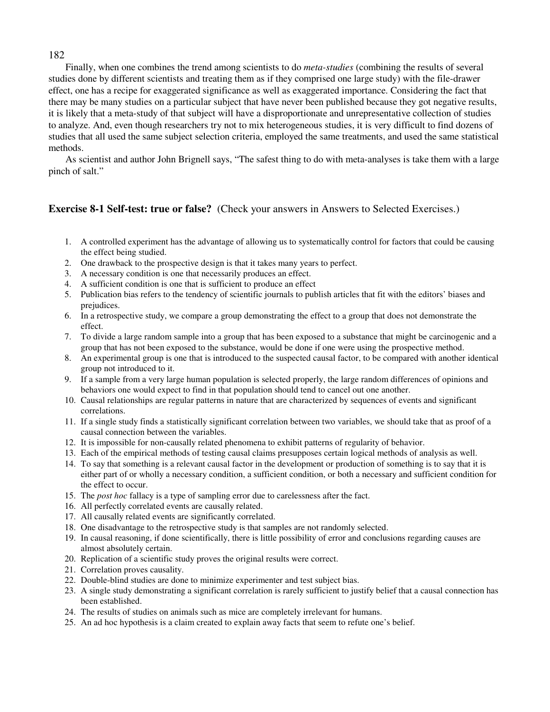Finally, when one combines the trend among scientists to do *meta-studies* (combining the results of several studies done by different scientists and treating them as if they comprised one large study) with the file-drawer effect, one has a recipe for exaggerated significance as well as exaggerated importance. Considering the fact that there may be many studies on a particular subject that have never been published because they got negative results, it is likely that a meta-study of that subject will have a disproportionate and unrepresentative collection of studies to analyze. And, even though researchers try not to mix heterogeneous studies, it is very difficult to find dozens of studies that all used the same subject selection criteria, employed the same treatments, and used the same statistical methods.

As scientist and author John Brignell says, "The safest thing to do with meta-analyses is take them with a large pinch of salt."

### **Exercise 8-1 Self-test: true or false?** (Check your answers in Answers to Selected Exercises.)

- 1. A controlled experiment has the advantage of allowing us to systematically control for factors that could be causing the effect being studied.
- 2. One drawback to the prospective design is that it takes many years to perfect.
- 3. A necessary condition is one that necessarily produces an effect.
- 4. A sufficient condition is one that is sufficient to produce an effect
- 5. Publication bias refers to the tendency of scientific journals to publish articles that fit with the editors' biases and prejudices.
- 6. In a retrospective study, we compare a group demonstrating the effect to a group that does not demonstrate the effect.
- 7. To divide a large random sample into a group that has been exposed to a substance that might be carcinogenic and a group that has not been exposed to the substance, would be done if one were using the prospective method.
- 8. An experimental group is one that is introduced to the suspected causal factor, to be compared with another identical group not introduced to it.
- 9. If a sample from a very large human population is selected properly, the large random differences of opinions and behaviors one would expect to find in that population should tend to cancel out one another.
- 10. Causal relationships are regular patterns in nature that are characterized by sequences of events and significant correlations.
- 11. If a single study finds a statistically significant correlation between two variables, we should take that as proof of a causal connection between the variables.
- 12. It is impossible for non-causally related phenomena to exhibit patterns of regularity of behavior.
- 13. Each of the empirical methods of testing causal claims presupposes certain logical methods of analysis as well.
- 14. To say that something is a relevant causal factor in the development or production of something is to say that it is either part of or wholly a necessary condition, a sufficient condition, or both a necessary and sufficient condition for the effect to occur.
- 15. The *post hoc* fallacy is a type of sampling error due to carelessness after the fact.
- 16. All perfectly correlated events are causally related.
- 17. All causally related events are significantly correlated.
- 18. One disadvantage to the retrospective study is that samples are not randomly selected.
- 19. In causal reasoning, if done scientifically, there is little possibility of error and conclusions regarding causes are almost absolutely certain.
- 20. Replication of a scientific study proves the original results were correct.
- 21. Correlation proves causality.
- 22. Double-blind studies are done to minimize experimenter and test subject bias.
- 23. A single study demonstrating a significant correlation is rarely sufficient to justify belief that a causal connection has been established.
- 24. The results of studies on animals such as mice are completely irrelevant for humans.
- 25. An ad hoc hypothesis is a claim created to explain away facts that seem to refute one's belief.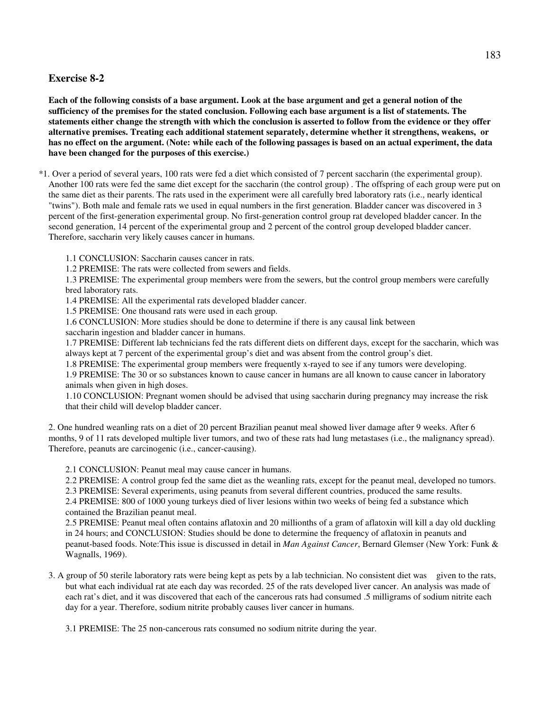# **Exercise 8-2**

Each of the following consists of a base argument. Look at the base argument and get a general notion of the sufficiency of the premises for the stated conclusion. Following each base argument is a list of statements. The statements either change the strength with which the conclusion is asserted to follow from the evidence or they offer **alternative premises. Treating each additional statement separately, determine whether it strengthens, weakens, or** has no effect on the argument. (Note: while each of the following passages is based on an actual experiment, the data **have been changed for the purposes of this exercise.)**

\*1. Over a period of several years, 100 rats were fed a diet which consisted of 7 percent saccharin (the experimental group). Another 100 rats were fed the same diet except for the saccharin (the control group) . The offspring of each group were put on the same diet as their parents. The rats used in the experiment were all carefully bred laboratory rats (i.e., nearly identical "twins"). Both male and female rats we used in equal numbers in the first generation. Bladder cancer was discovered in 3 percent of the first-generation experimental group. No first-generation control group rat developed bladder cancer. In the second generation, 14 percent of the experimental group and 2 percent of the control group developed bladder cancer. Therefore, saccharin very likely causes cancer in humans.

1.1 CONCLUSION: Saccharin causes cancer in rats.

1.2 PREMISE: The rats were collected from sewers and fields.

1.3 PREMISE: The experimental group members were from the sewers, but the control group members were carefully bred laboratory rats.

1.4 PREMISE: All the experimental rats developed bladder cancer.

1.5 PREMISE: One thousand rats were used in each group.

1.6 CONCLUSION: More studies should be done to determine if there is any causal link between saccharin ingestion and bladder cancer in humans.

1.7 PREMISE: Different lab technicians fed the rats different diets on different days, except for the saccharin, which was always kept at 7 percent of the experimental group's diet and was absent from the control group's diet.

1.8 PREMISE: The experimental group members were frequently x-rayed to see if any tumors were developing.

1.9 PREMISE: The 30 or so substances known to cause cancer in humans are all known to cause cancer in laboratory animals when given in high doses.

1.10 CONCLUSION: Pregnant women should be advised that using saccharin during pregnancy may increase the risk that their child will develop bladder cancer.

2. One hundred weanling rats on a diet of 20 percent Brazilian peanut meal showed liver damage after 9 weeks. After 6 months, 9 of 11 rats developed multiple liver tumors, and two of these rats had lung metastases (i.e., the malignancy spread). Therefore, peanuts are carcinogenic (i.e., cancer-causing).

2.1 CONCLUSION: Peanut meal may cause cancer in humans.

2.2 PREMISE: A control group fed the same diet as the weanling rats, except for the peanut meal, developed no tumors. 2.3 PREMISE: Several experiments, using peanuts from several different countries, produced the same results. 2.4 PREMISE: 800 of 1000 young turkeys died of liver lesions within two weeks of being fed a substance which

contained the Brazilian peanut meal.

2.5 PREMISE: Peanut meal often contains aflatoxin and 20 millionths of a gram of aflatoxin will kill a day old duckling in 24 hours; and CONCLUSION: Studies should be done to determine the frequency of aflatoxin in peanuts and peanut-based foods. Note:This issue is discussed in detail in *Man Against Cancer*, Bernard Glemser (New York: Funk & Wagnalls, 1969).

3. A group of 50 sterile laboratory rats were being kept as pets by a lab technician. No consistent diet was given to the rats, but what each individual rat ate each day was recorded. 25 of the rats developed liver cancer. An analysis was made of each rat's diet, and it was discovered that each of the cancerous rats had consumed .5 milligrams of sodium nitrite each day for a year. Therefore, sodium nitrite probably causes liver cancer in humans.

3.1 PREMISE: The 25 non-cancerous rats consumed no sodium nitrite during the year.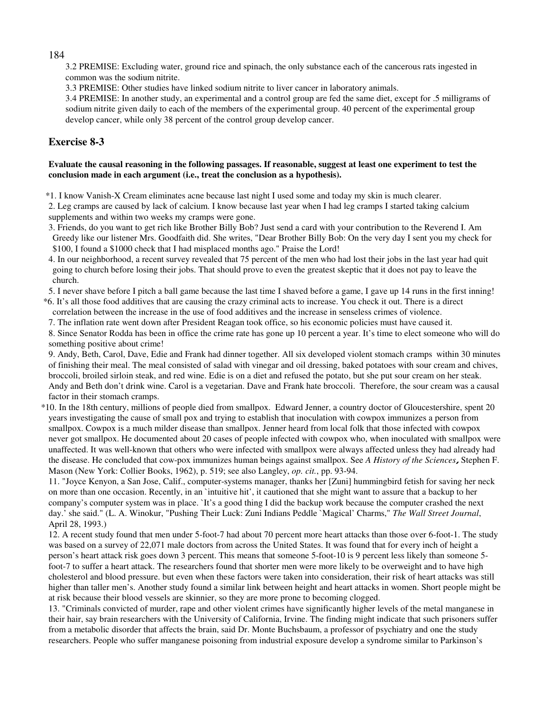3.2 PREMISE: Excluding water, ground rice and spinach, the only substance each of the cancerous rats ingested in common was the sodium nitrite.

3.3 PREMISE: Other studies have linked sodium nitrite to liver cancer in laboratory animals.

3.4 PREMISE: In another study, an experimental and a control group are fed the same diet, except for .5 milligrams of sodium nitrite given daily to each of the members of the experimental group. 40 percent of the experimental group develop cancer, while only 38 percent of the control group develop cancer.

### **Exercise 8-3**

#### Evaluate the causal reasoning in the following passages. If reasonable, suggest at least one experiment to test the **conclusion made in each argument (i.e., treat the conclusion as a hypothesis).**

\*1. I know Vanish-X Cream eliminates acne because last night I used some and today my skin is much clearer.

2. Leg cramps are caused by lack of calcium. I know because last year when I had leg cramps I started taking calcium supplements and within two weeks my cramps were gone.

- 3. Friends, do you want to get rich like Brother Billy Bob? Just send a card with your contribution to the Reverend I. Am Greedy like our listener Mrs. Goodfaith did. She writes, "Dear Brother Billy Bob: On the very day I sent you my check for \$100, I found a \$1000 check that I had misplaced months ago." Praise the Lord!
- 4. In our neighborhood, a recent survey revealed that 75 percent of the men who had lost their jobs in the last year had quit going to church before losing their jobs. That should prove to even the greatest skeptic that it does not pay to leave the church.
- 5. I never shave before I pitch a ball game because the last time I shaved before a game, I gave up 14 runs in the first inning!
- \*6. It's all those food additives that are causing the crazy criminal acts to increase. You check it out. There is a direct correlation between the increase in the use of food additives and the increase in senseless crimes of violence.
- 7. The inflation rate went down after President Reagan took office, so his economic policies must have caused it.
- 8. Since Senator Rodda has been in office the crime rate has gone up 10 percent a year. It's time to elect someone who will do something positive about crime!

9. Andy, Beth, Carol, Dave, Edie and Frank had dinner together. All six developed violent stomach cramps within 30 minutes of finishing their meal. The meal consisted of salad with vinegar and oil dressing, baked potatoes with sour cream and chives, broccoli, broiled sirloin steak, and red wine. Edie is on a diet and refused the potato, but she put sour cream on her steak. Andy and Beth don't drink wine. Carol is a vegetarian. Dave and Frank hate broccoli. Therefore, the sour cream was a causal factor in their stomach cramps.

\*10. In the 18th century, millions of people died from smallpox. Edward Jenner, a country doctor of Gloucestershire, spent 20 years investigating the cause of small pox and trying to establish that inoculation with cowpox immunizes a person from smallpox. Cowpox is a much milder disease than smallpox. Jenner heard from local folk that those infected with cowpox never got smallpox. He documented about 20 cases of people infected with cowpox who, when inoculated with smallpox were unaffected. It was well-known that others who were infected with smallpox were always affected unless they had already had the disease. He concluded that cow-pox immunizes human beings against smallpox. See *A History of the Sciences*- Stephen F. Mason (New York: Collier Books, 1962), p. 519; see also Langley, *op. cit.*, pp. 93-94.

11. "Joyce Kenyon, a San Jose, Calif., computer-systems manager, thanks her [Zuni] hummingbird fetish for saving her neck on more than one occasion. Recently, in an `intuitive hit', it cautioned that she might want to assure that a backup to her company's computer system was in place. `It's a good thing I did the backup work because the computer crashed the next day.' she said." (L. A. Winokur, "Pushing Their Luck: Zuni Indians Peddle `Magical' Charms," *The Wall Street Journal*, April 28, 1993.)

12. A recent study found that men under 5-foot-7 had about 70 percent more heart attacks than those over 6-foot-1. The study was based on a survey of 22,071 male doctors from across the United States. It was found that for every inch of height a person's heart attack risk goes down 3 percent. This means that someone 5-foot-10 is 9 percent less likely than someone 5 foot-7 to suffer a heart attack. The researchers found that shorter men were more likely to be overweight and to have high cholesterol and blood pressure. but even when these factors were taken into consideration, their risk of heart attacks was still higher than taller men's. Another study found a similar link between height and heart attacks in women. Short people might be at risk because their blood vessels are skinnier, so they are more prone to becoming clogged.

13. "Criminals convicted of murder, rape and other violent crimes have significantly higher levels of the metal manganese in their hair, say brain researchers with the University of California, Irvine. The finding might indicate that such prisoners suffer from a metabolic disorder that affects the brain, said Dr. Monte Buchsbaum, a professor of psychiatry and one the study researchers. People who suffer manganese poisoning from industrial exposure develop a syndrome similar to Parkinson's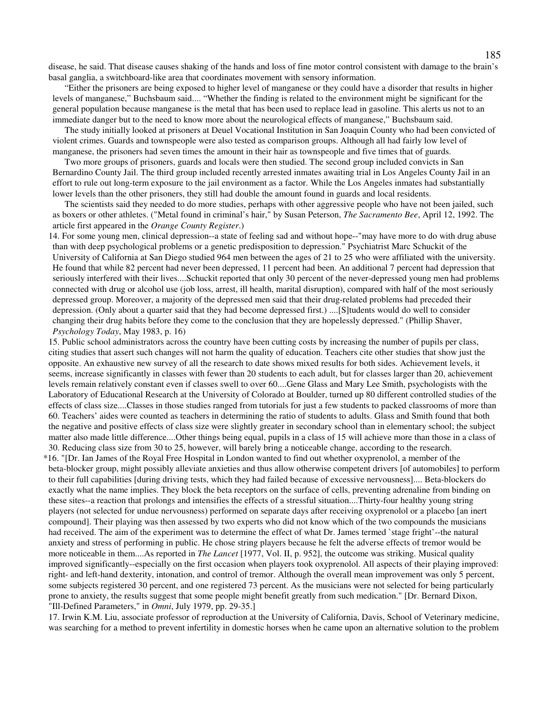disease, he said. That disease causes shaking of the hands and loss of fine motor control consistent with damage to the brain's basal ganglia, a switchboard-like area that coordinates movement with sensory information.

"Either the prisoners are being exposed to higher level of manganese or they could have a disorder that results in higher levels of manganese," Buchsbaum said.... "Whether the finding is related to the environment might be significant for the general population because manganese is the metal that has been used to replace lead in gasoline. This alerts us not to an immediate danger but to the need to know more about the neurological effects of manganese," Buchsbaum said.

The study initially looked at prisoners at Deuel Vocational Institution in San Joaquin County who had been convicted of violent crimes. Guards and townspeople were also tested as comparison groups. Although all had fairly low level of manganese, the prisoners had seven times the amount in their hair as townspeople and five times that of guards.

Two more groups of prisoners, guards and locals were then studied. The second group included convicts in San Bernardino County Jail. The third group included recently arrested inmates awaiting trial in Los Angeles County Jail in an effort to rule out long-term exposure to the jail environment as a factor. While the Los Angeles inmates had substantially lower levels than the other prisoners, they still had double the amount found in guards and local residents.

The scientists said they needed to do more studies, perhaps with other aggressive people who have not been jailed, such as boxers or other athletes. ("Metal found in criminal's hair," by Susan Peterson, *The Sacramento Bee*, April 12, 1992. The article first appeared in the *Orange County Register*.)

14. For some young men, clinical depression--a state of feeling sad and without hope--"may have more to do with drug abuse than with deep psychological problems or a genetic predisposition to depression." Psychiatrist Marc Schuckit of the University of California at San Diego studied 964 men between the ages of 21 to 25 who were affiliated with the university. He found that while 82 percent had never been depressed, 11 percent had been. An additional 7 percent had depression that seriously interfered with their lives....Schuckit reported that only 30 percent of the never-depressed young men had problems connected with drug or alcohol use (job loss, arrest, ill health, marital disruption), compared with half of the most seriously depressed group. Moreover, a majority of the depressed men said that their drug-related problems had preceded their depression. (Only about a quarter said that they had become depressed first.) ....[S]tudents would do well to consider changing their drug habits before they come to the conclusion that they are hopelessly depressed." (Phillip Shaver, *Psychology Today*, May 1983, p. 16)

15. Public school administrators across the country have been cutting costs by increasing the number of pupils per class, citing studies that assert such changes will not harm the quality of education. Teachers cite other studies that show just the opposite. An exhaustive new survey of all the research to date shows mixed results for both sides. Achievement levels, it seems, increase significantly in classes with fewer than 20 students to each adult, but for classes larger than 20, achievement levels remain relatively constant even if classes swell to over 60....Gene Glass and Mary Lee Smith, psychologists with the Laboratory of Educational Research at the University of Colorado at Boulder, turned up 80 different controlled studies of the effects of class size....Classes in those studies ranged from tutorials for just a few students to packed classrooms of more than 60. Teachers' aides were counted as teachers in determining the ratio of students to adults. Glass and Smith found that both the negative and positive effects of class size were slightly greater in secondary school than in elementary school; the subject matter also made little difference....Other things being equal, pupils in a class of 15 will achieve more than those in a class of 30. Reducing class size from 30 to 25, however, will barely bring a noticeable change, according to the research.

\*16. "[Dr. Ian James of the Royal Free Hospital in London wanted to find out whether oxyprenolol, a member of the beta-blocker group, might possibly alleviate anxieties and thus allow otherwise competent drivers [of automobiles] to perform to their full capabilities [during driving tests, which they had failed because of excessive nervousness].... Beta-blockers do exactly what the name implies. They block the beta receptors on the surface of cells, preventing adrenaline from binding on these sites--a reaction that prolongs and intensifies the effects of a stressful situation....Thirty-four healthy young string players (not selected for undue nervousness) performed on separate days after receiving oxyprenolol or a placebo [an inert compound]. Their playing was then assessed by two experts who did not know which of the two compounds the musicians had received. The aim of the experiment was to determine the effect of what Dr. James termed `stage fright'--the natural anxiety and stress of performing in public. He chose string players because he felt the adverse effects of tremor would be more noticeable in them....As reported in *The Lancet* [1977, Vol. II, p. 952], the outcome was striking. Musical quality improved significantly--especially on the first occasion when players took oxyprenolol. All aspects of their playing improved: right- and left-hand dexterity, intonation, and control of tremor. Although the overall mean improvement was only 5 percent, some subjects registered 30 percent, and one registered 73 percent. As the musicians were not selected for being particularly prone to anxiety, the results suggest that some people might benefit greatly from such medication." [Dr. Bernard Dixon, "Ill-Defined Parameters," in *Omni*, July 1979, pp. 29-35.]

17. Irwin K.M. Liu, associate professor of reproduction at the University of California, Davis, School of Veterinary medicine, was searching for a method to prevent infertility in domestic horses when he came upon an alternative solution to the problem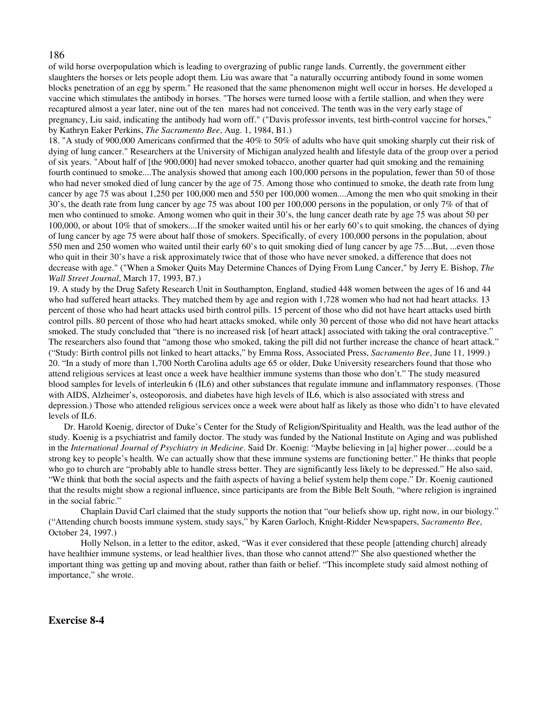of wild horse overpopulation which is leading to overgrazing of public range lands. Currently, the government either slaughters the horses or lets people adopt them. Liu was aware that "a naturally occurring antibody found in some women blocks penetration of an egg by sperm." He reasoned that the same phenomenon might well occur in horses. He developed a vaccine which stimulates the antibody in horses. "The horses were turned loose with a fertile stallion, and when they were recaptured almost a year later, nine out of the ten mares had not conceived. The tenth was in the very early stage of pregnancy, Liu said, indicating the antibody had worn off." ("Davis professor invents, test birth-control vaccine for horses," by Kathryn Eaker Perkins, *The Sacramento Bee*, Aug. 1, 1984, B1.)

18. "A study of 900,000 Americans confirmed that the 40% to 50% of adults who have quit smoking sharply cut their risk of dying of lung cancer." Researchers at the University of Michigan analyzed health and lifestyle data of the group over a period of six years. "About half of [the 900,000] had never smoked tobacco, another quarter had quit smoking and the remaining fourth continued to smoke....The analysis showed that among each 100,000 persons in the population, fewer than 50 of those who had never smoked died of lung cancer by the age of 75. Among those who continued to smoke, the death rate from lung cancer by age 75 was about 1,250 per 100,000 men and 550 per 100,000 women....Among the men who quit smoking in their 30's, the death rate from lung cancer by age 75 was about 100 per 100,000 persons in the population, or only 7% of that of men who continued to smoke. Among women who quit in their 30's, the lung cancer death rate by age 75 was about 50 per 100,000, or about 10% that of smokers....If the smoker waited until his or her early 60's to quit smoking, the chances of dying of lung cancer by age 75 were about half those of smokers. Specifically, of every 100,000 persons in the population, about 550 men and 250 women who waited until their early 60's to quit smoking died of lung cancer by age 75....But, ...even those who quit in their 30's have a risk approximately twice that of those who have never smoked, a difference that does not decrease with age." ("When a Smoker Quits May Determine Chances of Dying From Lung Cancer," by Jerry E. Bishop, *The Wall Street Journal*, March 17, 1993, B7.)

19. A study by the Drug Safety Research Unit in Southampton, England, studied 448 women between the ages of 16 and 44 who had suffered heart attacks. They matched them by age and region with 1,728 women who had not had heart attacks. 13 percent of those who had heart attacks used birth control pills. 15 percent of those who did not have heart attacks used birth control pills. 80 percent of those who had heart attacks smoked, while only 30 percent of those who did not have heart attacks smoked. The study concluded that "there is no increased risk [of heart attack] associated with taking the oral contraceptive." The researchers also found that "among those who smoked, taking the pill did not further increase the chance of heart attack." ("Study: Birth control pills not linked to heart attacks," by Emma Ross, Associated Press, *Sacramento Bee*, June 11, 1999.) 20. "In a study of more than 1,700 North Carolina adults age 65 or older, Duke University researchers found that those who attend religious services at least once a week have healthier immune systems than those who don't." The study measured blood samples for levels of interleukin 6 (IL6) and other substances that regulate immune and inflammatory responses. (Those with AIDS, Alzheimer's, osteoporosis, and diabetes have high levels of IL6, which is also associated with stress and depression.) Those who attended religious services once a week were about half as likely as those who didn't to have elevated levels of IL6.

Dr. Harold Koenig, director of Duke's Center for the Study of Religion/Spirituality and Health, was the lead author of the study. Koenig is a psychiatrist and family doctor. The study was funded by the National Institute on Aging and was published in the *International Journal of Psychiatry in Medicine*. Said Dr. Koenig: "Maybe believing in [a] higher power…could be a strong key to people's health. We can actually show that these immune systems are functioning better." He thinks that people who go to church are "probably able to handle stress better. They are significantly less likely to be depressed." He also said, "We think that both the social aspects and the faith aspects of having a belief system help them cope." Dr. Koenig cautioned that the results might show a regional influence, since participants are from the Bible Belt South, "where religion is ingrained in the social fabric."

Chaplain David Carl claimed that the study supports the notion that "our beliefs show up, right now, in our biology." ("Attending church boosts immune system, study says," by Karen Garloch, Knight-Ridder Newspapers, *Sacramento Bee*, October 24, 1997.)

Holly Nelson, in a letter to the editor, asked, "Was it ever considered that these people [attending church] already have healthier immune systems, or lead healthier lives, than those who cannot attend?" She also questioned whether the important thing was getting up and moving about, rather than faith or belief. "This incomplete study said almost nothing of importance," she wrote.

**Exercise 8-4**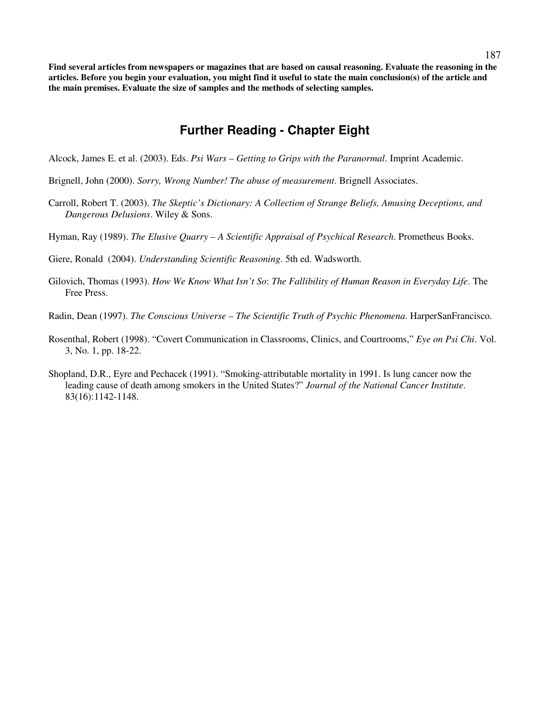Find several articles from newspapers or magazines that are based on causal reasoning. Evaluate the reasoning in the articles. Before you begin your evaluation, you might find it useful to state the main conclusion(s) of the article and **the main premises. Evaluate the size of samples and the methods of selecting samples.**

# **Further Reading - Chapter Eight**

Alcock, James E. et al. (2003). Eds. *Psi Wars – Getting to Grips with the Paranormal*. Imprint Academic.

- Brignell, John (2000). *Sorry, Wrong Number! The abuse of measurement*. Brignell Associates.
- Carroll, Robert T. (2003). *The Skeptic's Dictionary: A Collection of Strange Beliefs, Amusing Deceptions, and Dangerous Delusions*. Wiley & Sons.
- Hyman, Ray (1989). *The Elusive Quarry – A Scientific Appraisal of Psychical Research*. Prometheus Books.

Giere, Ronald (2004). *Understanding Scientific Reasoning*. 5th ed. Wadsworth.

Gilovich, Thomas (1993). *How We Know What Isn't So*: *The Fallibility of Human Reason in Everyday Life*. The Free Press.

Radin, Dean (1997). *The Conscious Universe – The Scientific Truth of Psychic Phenomena*. HarperSanFrancisco.

- Rosenthal, Robert (1998). "Covert Communication in Classrooms, Clinics, and Courtrooms," *Eye on Psi Chi*. Vol. 3, No. 1, pp. 18-22.
- Shopland, D.R., Eyre and Pechacek (1991). "Smoking-attributable mortality in 1991. Is lung cancer now the leading cause of death among smokers in the United States?" *Journal of the National Cancer Institute*. 83(16):1142-1148.